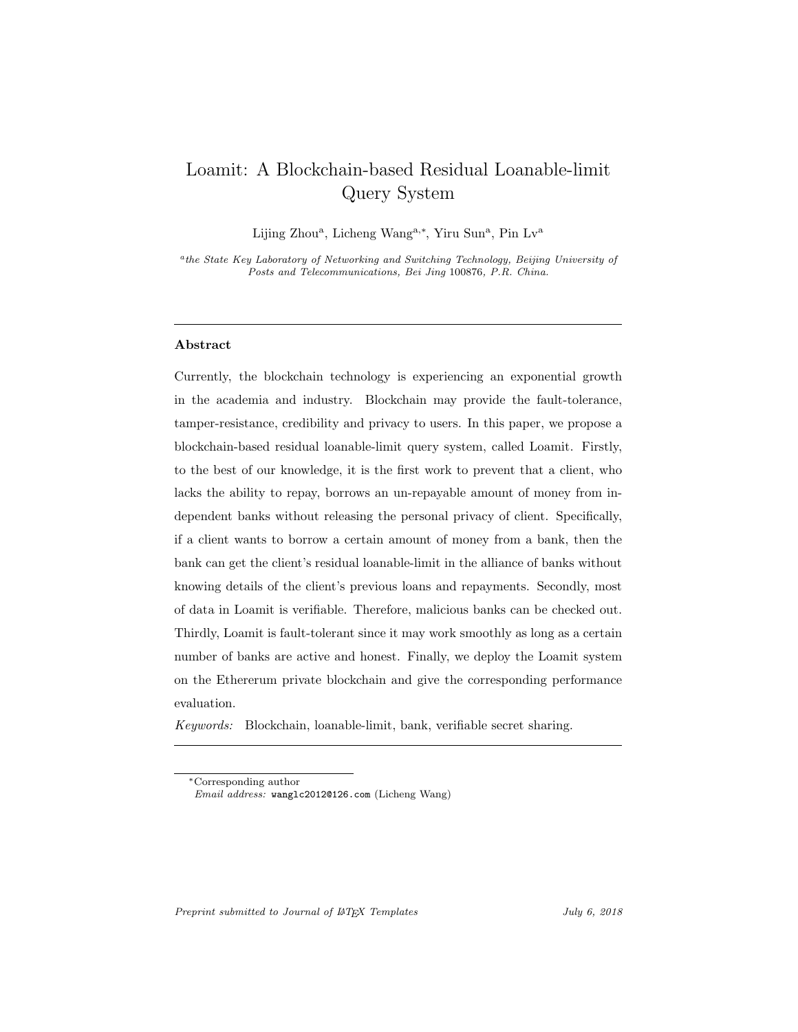# Loamit: A Blockchain-based Residual Loanable-limit Query System

Lijing Zhou<sup>a</sup>, Licheng Wang<sup>a,\*</sup>, Yiru Sun<sup>a</sup>, Pin Lv<sup>a</sup>

<sup>a</sup>the State Key Laboratory of Networking and Switching Technology, Beijing University of Posts and Telecommunications, Bei Jing 100876, P.R. China.

# Abstract

Currently, the blockchain technology is experiencing an exponential growth in the academia and industry. Blockchain may provide the fault-tolerance, tamper-resistance, credibility and privacy to users. In this paper, we propose a blockchain-based residual loanable-limit query system, called Loamit. Firstly, to the best of our knowledge, it is the first work to prevent that a client, who lacks the ability to repay, borrows an un-repayable amount of money from independent banks without releasing the personal privacy of client. Specifically, if a client wants to borrow a certain amount of money from a bank, then the bank can get the client's residual loanable-limit in the alliance of banks without knowing details of the client's previous loans and repayments. Secondly, most of data in Loamit is verifiable. Therefore, malicious banks can be checked out. Thirdly, Loamit is fault-tolerant since it may work smoothly as long as a certain number of banks are active and honest. Finally, we deploy the Loamit system on the Ethererum private blockchain and give the corresponding performance evaluation.

Keywords: Blockchain, loanable-limit, bank, verifiable secret sharing.

Preprint submitted to Journal of LATEX Templates  $July 6, 2018$ 

<sup>∗</sup>Corresponding author

Email address: wanglc2012@126.com (Licheng Wang)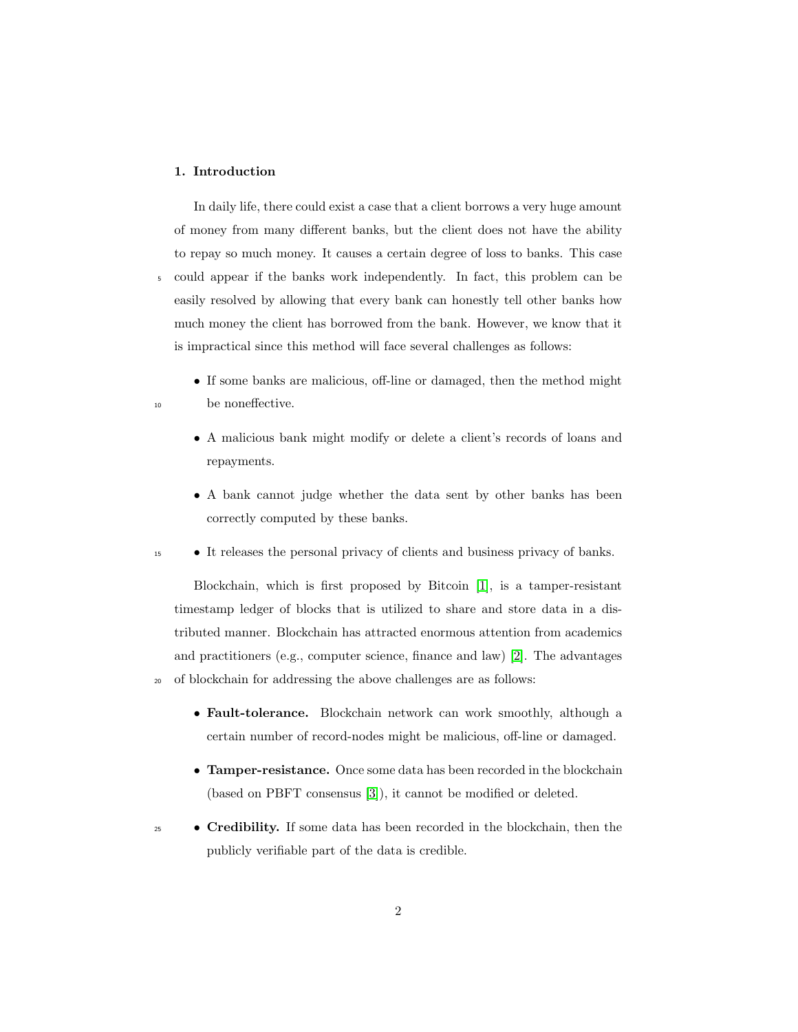# 1. Introduction

In daily life, there could exist a case that a client borrows a very huge amount of money from many different banks, but the client does not have the ability to repay so much money. It causes a certain degree of loss to banks. This case <sup>5</sup> could appear if the banks work independently. In fact, this problem can be easily resolved by allowing that every bank can honestly tell other banks how much money the client has borrowed from the bank. However, we know that it is impractical since this method will face several challenges as follows:

- If some banks are malicious, off-line or damaged, then the method might <sup>10</sup> be noneffective.
	- A malicious bank might modify or delete a client's records of loans and repayments.
	- A bank cannot judge whether the data sent by other banks has been correctly computed by these banks.
- <sup>15</sup> It releases the personal privacy of clients and business privacy of banks.

Blockchain, which is first proposed by Bitcoin [\[1\]](#page-25-0), is a tamper-resistant timestamp ledger of blocks that is utilized to share and store data in a distributed manner. Blockchain has attracted enormous attention from academics and practitioners (e.g., computer science, finance and law) [\[2\]](#page-25-1). The advantages <sup>20</sup> of blockchain for addressing the above challenges are as follows:

- Fault-tolerance. Blockchain network can work smoothly, although a certain number of record-nodes might be malicious, off-line or damaged.
- Tamper-resistance. Once some data has been recorded in the blockchain (based on PBFT consensus [\[3\]](#page-25-2)), it cannot be modified or deleted.
- **Credibility.** If some data has been recorded in the blockchain, then the publicly verifiable part of the data is credible.
	- 2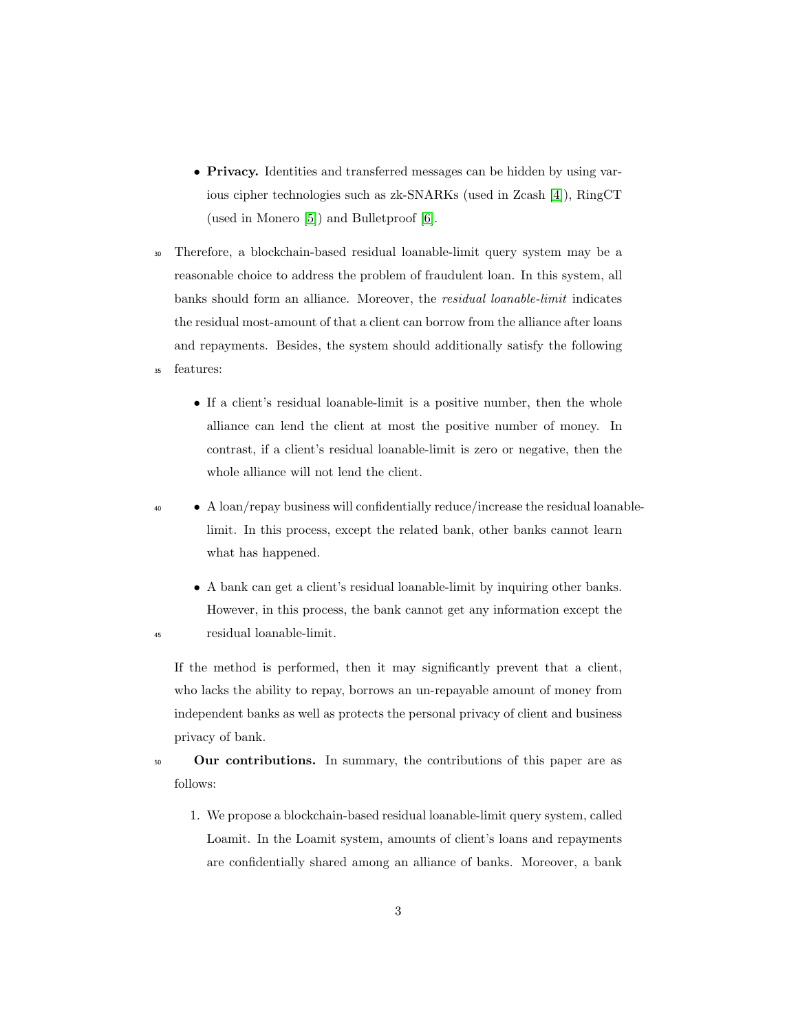- Privacy. Identities and transferred messages can be hidden by using various cipher technologies such as zk-SNARKs (used in Zcash [\[4\]](#page-26-0)), RingCT (used in Monero [\[5\]](#page-26-1)) and Bulletproof [\[6\]](#page-26-2).
- <sup>30</sup> Therefore, a blockchain-based residual loanable-limit query system may be a reasonable choice to address the problem of fraudulent loan. In this system, all banks should form an alliance. Moreover, the residual loanable-limit indicates the residual most-amount of that a client can borrow from the alliance after loans and repayments. Besides, the system should additionally satisfy the following <sup>35</sup> features:
	- If a client's residual loanable-limit is a positive number, then the whole alliance can lend the client at most the positive number of money. In contrast, if a client's residual loanable-limit is zero or negative, then the whole alliance will not lend the client.
- <sup>40</sup> A loan/repay business will confidentially reduce/increase the residual loanablelimit. In this process, except the related bank, other banks cannot learn what has happened.
- A bank can get a client's residual loanable-limit by inquiring other banks. However, in this process, the bank cannot get any information except the <sup>45</sup> residual loanable-limit.

If the method is performed, then it may significantly prevent that a client, who lacks the ability to repay, borrows an un-repayable amount of money from independent banks as well as protects the personal privacy of client and business privacy of bank.

<sup>50</sup> Our contributions. In summary, the contributions of this paper are as follows:

1. We propose a blockchain-based residual loanable-limit query system, called Loamit. In the Loamit system, amounts of client's loans and repayments are confidentially shared among an alliance of banks. Moreover, a bank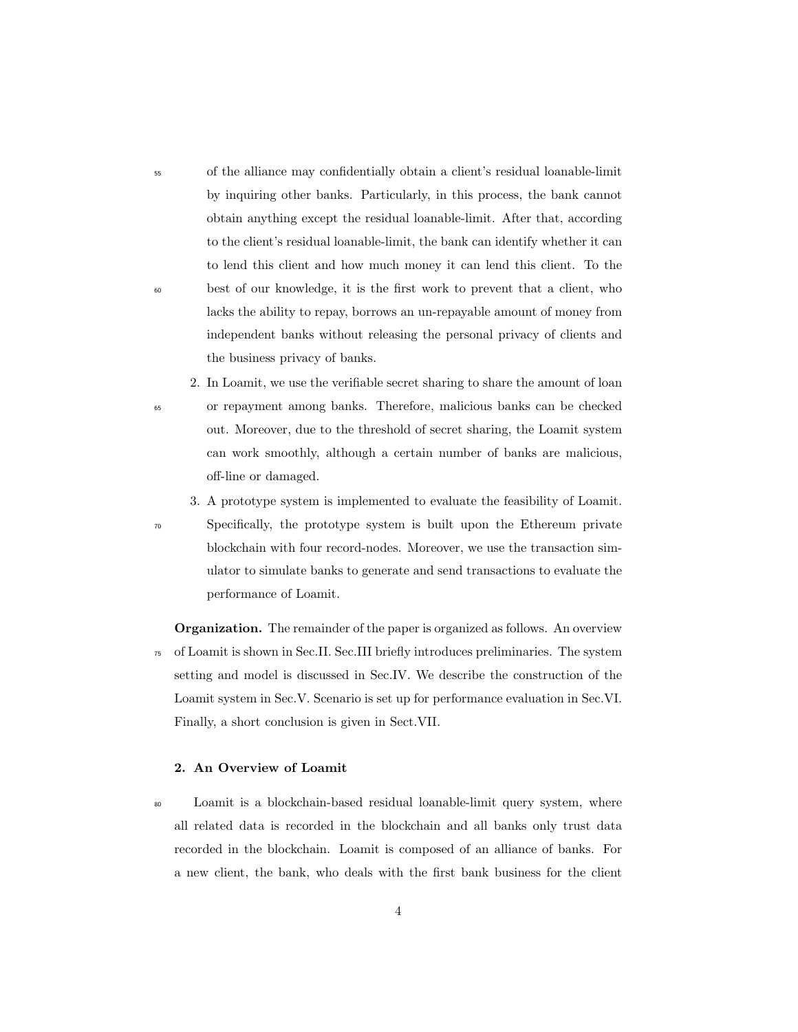<sup>55</sup> of the alliance may confidentially obtain a client's residual loanable-limit by inquiring other banks. Particularly, in this process, the bank cannot obtain anything except the residual loanable-limit. After that, according to the client's residual loanable-limit, the bank can identify whether it can to lend this client and how much money it can lend this client. To the <sup>60</sup> best of our knowledge, it is the first work to prevent that a client, who lacks the ability to repay, borrows an un-repayable amount of money from independent banks without releasing the personal privacy of clients and the business privacy of banks.

2. In Loamit, we use the verifiable secret sharing to share the amount of loan <sup>65</sup> or repayment among banks. Therefore, malicious banks can be checked out. Moreover, due to the threshold of secret sharing, the Loamit system can work smoothly, although a certain number of banks are malicious, off-line or damaged.

3. A prototype system is implemented to evaluate the feasibility of Loamit. <sup>70</sup> Specifically, the prototype system is built upon the Ethereum private blockchain with four record-nodes. Moreover, we use the transaction simulator to simulate banks to generate and send transactions to evaluate the performance of Loamit.

**Organization.** The remainder of the paper is organized as follows. An overview <sup>75</sup> of Loamit is shown in Sec.II. Sec.III briefly introduces preliminaries. The system setting and model is discussed in Sec.IV. We describe the construction of the Loamit system in Sec.V. Scenario is set up for performance evaluation in Sec.VI. Finally, a short conclusion is given in Sect.VII.

# 2. An Overview of Loamit

<sup>80</sup> Loamit is a blockchain-based residual loanable-limit query system, where all related data is recorded in the blockchain and all banks only trust data recorded in the blockchain. Loamit is composed of an alliance of banks. For a new client, the bank, who deals with the first bank business for the client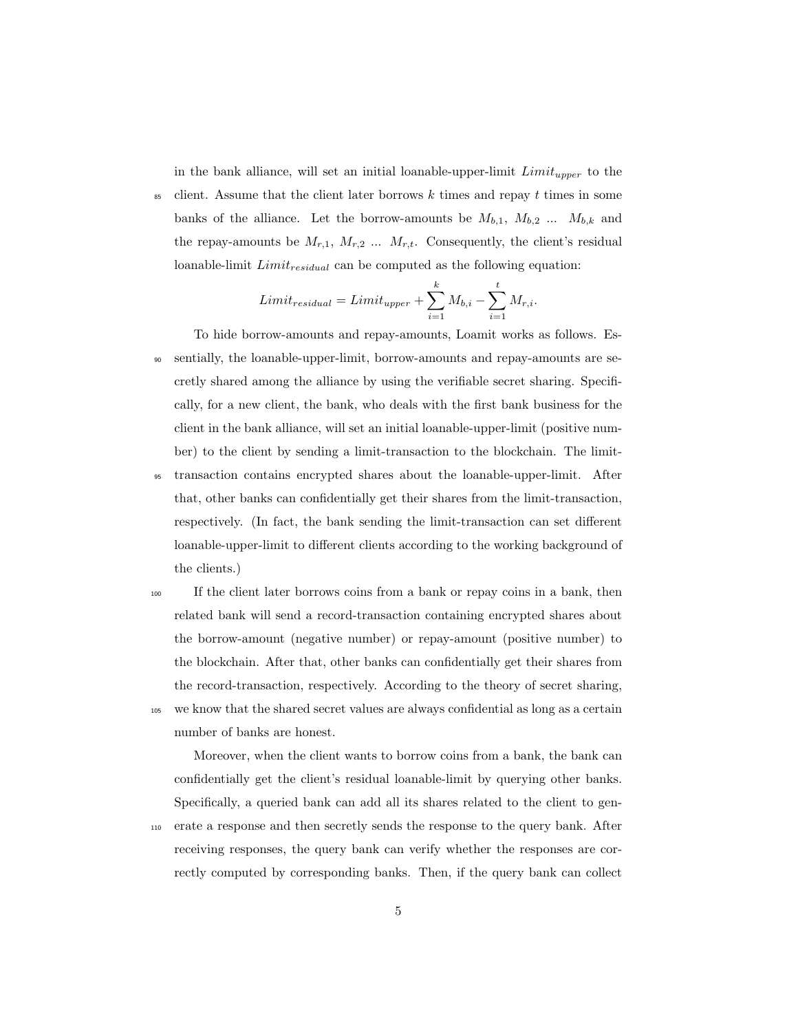in the bank alliance, will set an initial loanable-upper-limit  $Limit_{upper}$  to the

 $\frac{1}{85}$  client. Assume that the client later borrows k times and repay t times in some banks of the alliance. Let the borrow-amounts be  $M_{b,1}$ ,  $M_{b,2}$  ...  $M_{b,k}$  and the repay-amounts be  $M_{r,1}$ ,  $M_{r,2}$  ...  $M_{r,t}$ . Consequently, the client's residual loanable-limit  $Limit_{residual}$  can be computed as the following equation:

$$
Limit_{residual} = Limit_{upper} + \sum_{i=1}^{k} M_{b,i} - \sum_{i=1}^{t} M_{r,i}.
$$

- To hide borrow-amounts and repay-amounts, Loamit works as follows. Es-<sup>90</sup> sentially, the loanable-upper-limit, borrow-amounts and repay-amounts are secretly shared among the alliance by using the verifiable secret sharing. Specifically, for a new client, the bank, who deals with the first bank business for the client in the bank alliance, will set an initial loanable-upper-limit (positive number) to the client by sending a limit-transaction to the blockchain. The limit-<sup>95</sup> transaction contains encrypted shares about the loanable-upper-limit. After that, other banks can confidentially get their shares from the limit-transaction, respectively. (In fact, the bank sending the limit-transaction can set different
- the clients.) <sup>100</sup> If the client later borrows coins from a bank or repay coins in a bank, then related bank will send a record-transaction containing encrypted shares about the borrow-amount (negative number) or repay-amount (positive number) to the blockchain. After that, other banks can confidentially get their shares from the record-transaction, respectively. According to the theory of secret sharing, <sup>105</sup> we know that the shared secret values are always confidential as long as a certain

loanable-upper-limit to different clients according to the working background of

number of banks are honest.

Moreover, when the client wants to borrow coins from a bank, the bank can confidentially get the client's residual loanable-limit by querying other banks. Specifically, a queried bank can add all its shares related to the client to gen-<sup>110</sup> erate a response and then secretly sends the response to the query bank. After receiving responses, the query bank can verify whether the responses are correctly computed by corresponding banks. Then, if the query bank can collect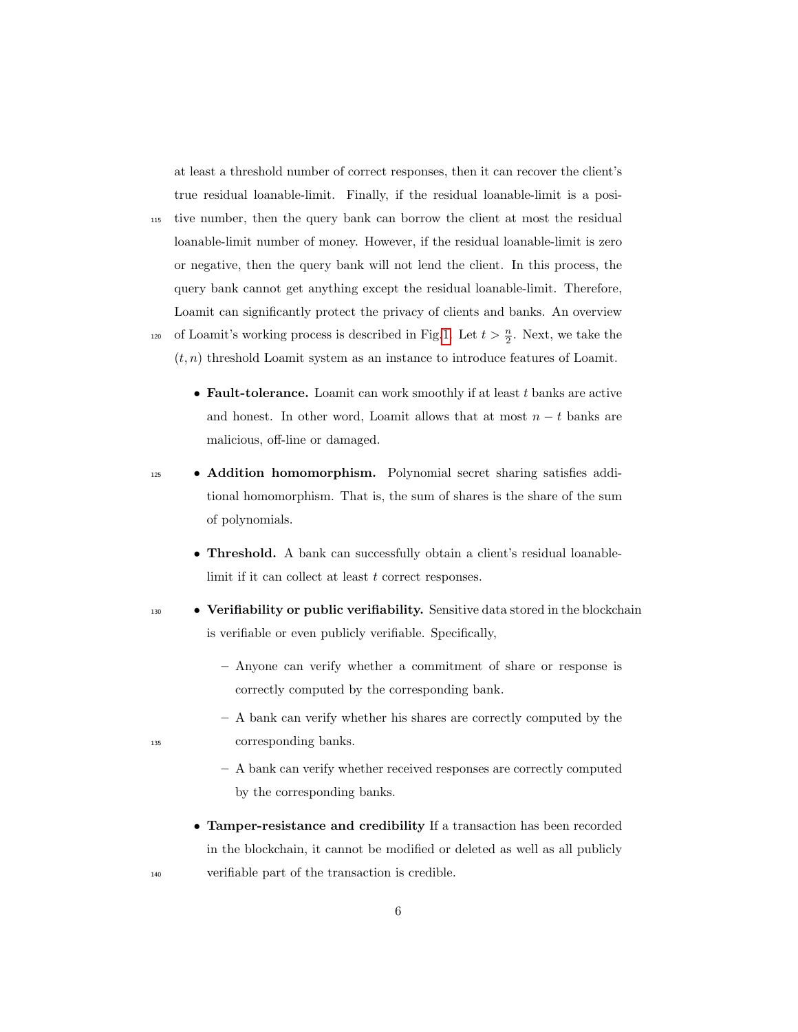at least a threshold number of correct responses, then it can recover the client's true residual loanable-limit. Finally, if the residual loanable-limit is a posi-

<sup>115</sup> tive number, then the query bank can borrow the client at most the residual loanable-limit number of money. However, if the residual loanable-limit is zero or negative, then the query bank will not lend the client. In this process, the query bank cannot get anything except the residual loanable-limit. Therefore, Loamit can significantly protect the privacy of clients and banks. An overview <sup>120</sup> of Loamit's working process is described in Fig[.1.](#page-28-0) Let  $t > \frac{n}{2}$ . Next, we take the

 $(t, n)$  threshold Loamit system as an instance to introduce features of Loamit.

- Fault-tolerance. Loamit can work smoothly if at least  $t$  banks are active and honest. In other word, Loamit allows that at most  $n - t$  banks are malicious, off-line or damaged.
- <sup>125</sup> Addition homomorphism. Polynomial secret sharing satisfies additional homomorphism. That is, the sum of shares is the share of the sum of polynomials.
	- Threshold. A bank can successfully obtain a client's residual loanablelimit if it can collect at least t correct responses.
- 130 Verifiability or public verifiability. Sensitive data stored in the blockchain is verifiable or even publicly verifiable. Specifically,
	- Anyone can verify whether a commitment of share or response is correctly computed by the corresponding bank.
- A bank can verify whether his shares are correctly computed by the <sup>135</sup> corresponding banks.
	- A bank can verify whether received responses are correctly computed by the corresponding banks.
- Tamper-resistance and credibility If a transaction has been recorded in the blockchain, it cannot be modified or deleted as well as all publicly <sup>140</sup> verifiable part of the transaction is credible.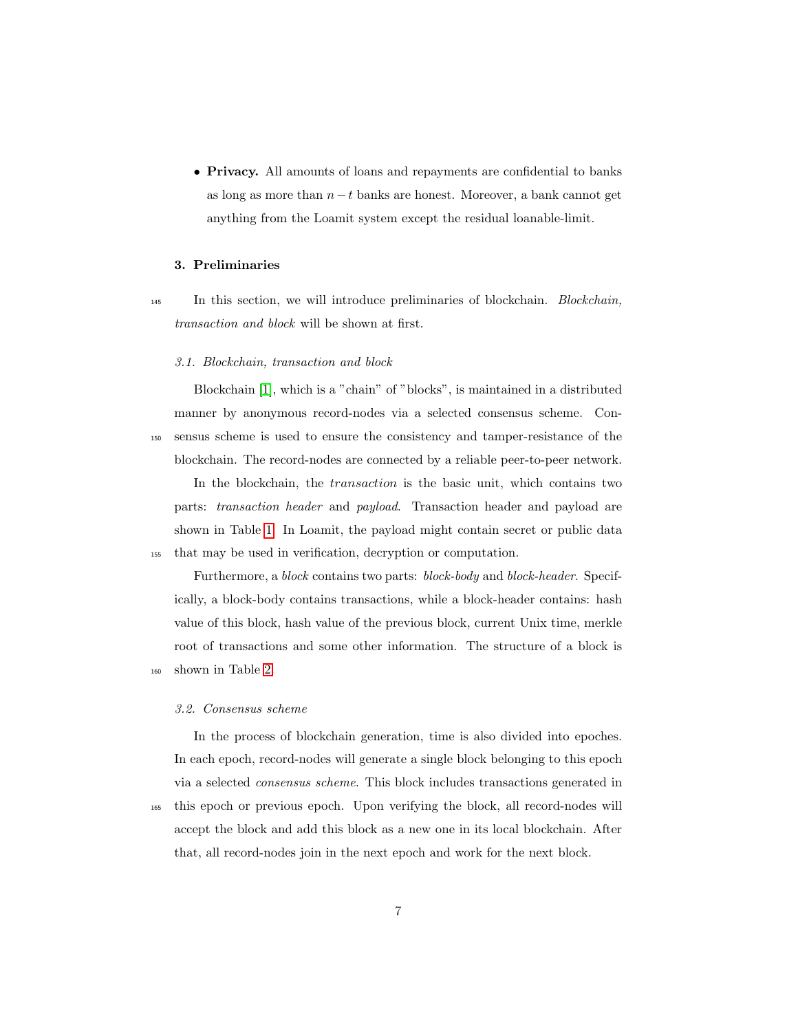• Privacy. All amounts of loans and repayments are confidential to banks as long as more than  $n-t$  banks are honest. Moreover, a bank cannot get anything from the Loamit system except the residual loanable-limit.

# 3. Preliminaries

<sup>145</sup> In this section, we will introduce preliminaries of blockchain. Blockchain, transaction and block will be shown at first.

#### 3.1. Blockchain, transaction and block

Blockchain [\[1\]](#page-25-0), which is a "chain" of "blocks", is maintained in a distributed manner by anonymous record-nodes via a selected consensus scheme. Con-<sup>150</sup> sensus scheme is used to ensure the consistency and tamper-resistance of the blockchain. The record-nodes are connected by a reliable peer-to-peer network.

In the blockchain, the transaction is the basic unit, which contains two parts: transaction header and payload. Transaction header and payload are shown in Table [1.](#page-7-0) In Loamit, the payload might contain secret or public data <sup>155</sup> that may be used in verification, decryption or computation.

Furthermore, a block contains two parts: block-body and block-header. Specifically, a block-body contains transactions, while a block-header contains: hash value of this block, hash value of the previous block, current Unix time, merkle root of transactions and some other information. The structure of a block is <sup>160</sup> shown in Table [2.](#page-8-0)

# 3.2. Consensus scheme

In the process of blockchain generation, time is also divided into epoches. In each epoch, record-nodes will generate a single block belonging to this epoch via a selected consensus scheme. This block includes transactions generated in

<sup>165</sup> this epoch or previous epoch. Upon verifying the block, all record-nodes will accept the block and add this block as a new one in its local blockchain. After that, all record-nodes join in the next epoch and work for the next block.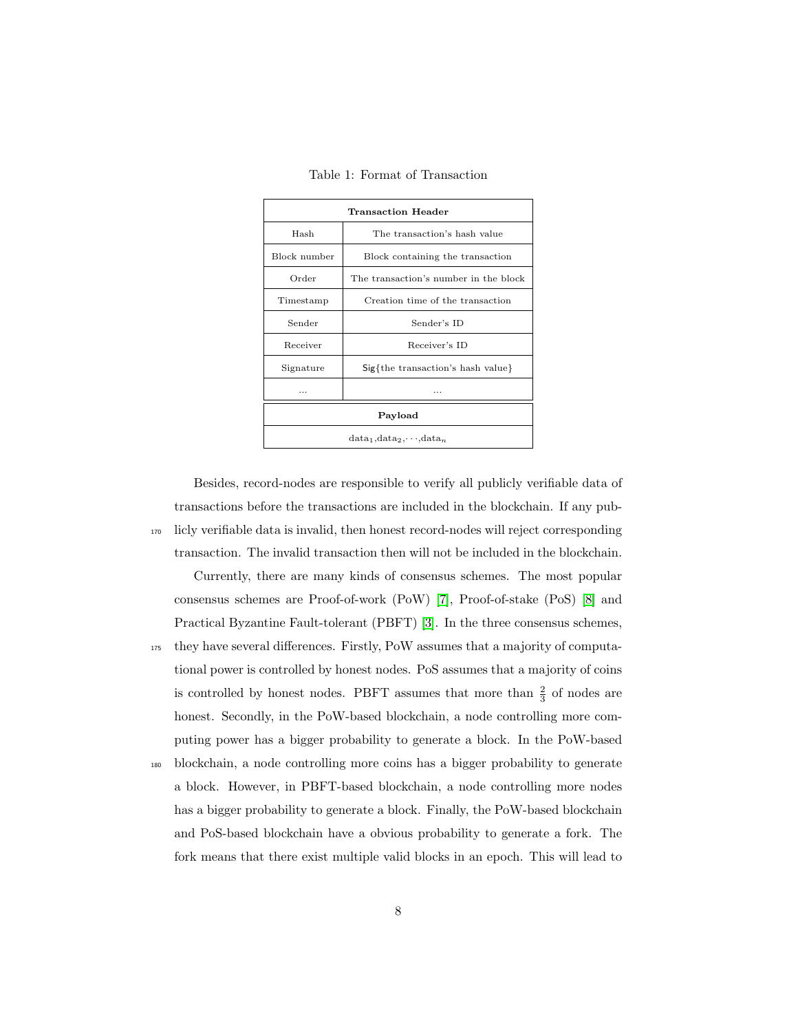Table 1: Format of Transaction

<span id="page-7-0"></span>

| Transaction Header               |                                       |  |
|----------------------------------|---------------------------------------|--|
| Hash                             | The transaction's hash value          |  |
| Block number                     | Block containing the transaction      |  |
| Order                            | The transaction's number in the block |  |
| Timestamp                        | Creation time of the transaction      |  |
| Sender                           | Sender's ID                           |  |
| Receiver                         | Receiver's ID                         |  |
| Signature                        | $Sig{the transaction's hash value}$   |  |
|                                  |                                       |  |
| Payload                          |                                       |  |
| $data_1, data_2, \cdots, data_n$ |                                       |  |

Besides, record-nodes are responsible to verify all publicly verifiable data of transactions before the transactions are included in the blockchain. If any pub-<sup>170</sup> licly verifiable data is invalid, then honest record-nodes will reject corresponding transaction. The invalid transaction then will not be included in the blockchain.

Currently, there are many kinds of consensus schemes. The most popular consensus schemes are Proof-of-work (PoW) [\[7\]](#page-26-3), Proof-of-stake (PoS) [\[8\]](#page-26-4) and Practical Byzantine Fault-tolerant (PBFT) [\[3\]](#page-25-2). In the three consensus schemes, <sup>175</sup> they have several differences. Firstly, PoW assumes that a majority of computational power is controlled by honest nodes. PoS assumes that a majority of coins is controlled by honest nodes. PBFT assumes that more than  $\frac{2}{3}$  of nodes are honest. Secondly, in the PoW-based blockchain, a node controlling more computing power has a bigger probability to generate a block. In the PoW-based <sup>180</sup> blockchain, a node controlling more coins has a bigger probability to generate a block. However, in PBFT-based blockchain, a node controlling more nodes has a bigger probability to generate a block. Finally, the PoW-based blockchain

and PoS-based blockchain have a obvious probability to generate a fork. The fork means that there exist multiple valid blocks in an epoch. This will lead to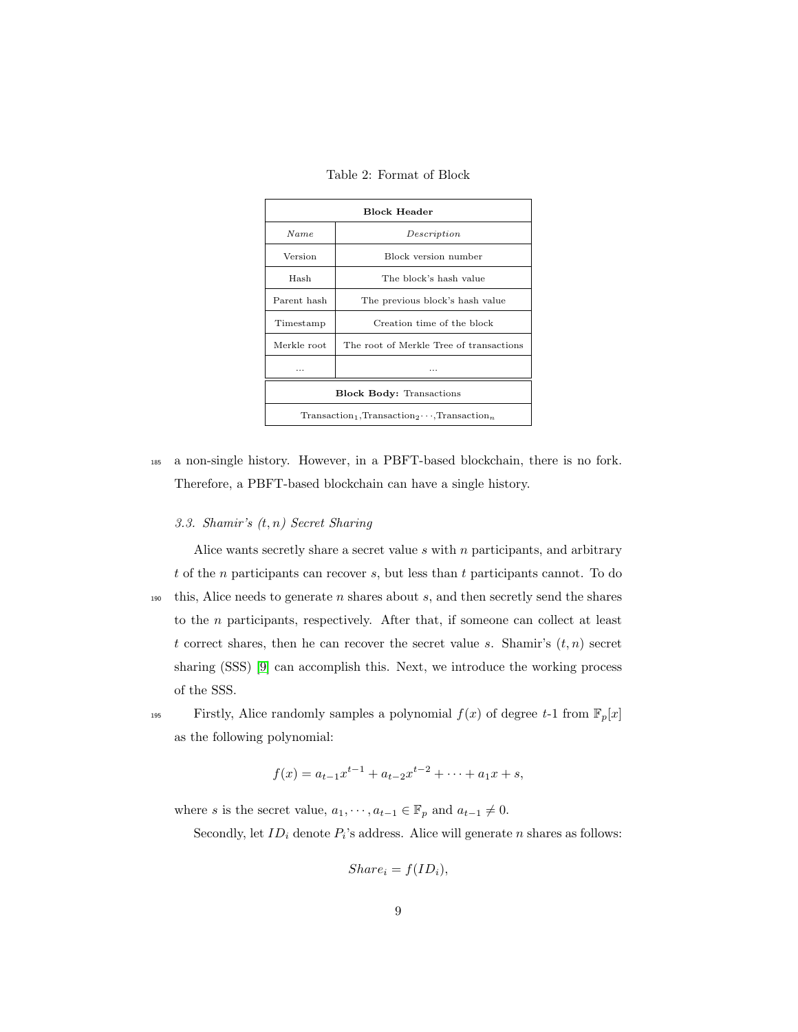Table 2: Format of Block

<span id="page-8-0"></span>

| <b>Block Header</b>                                  |                                         |  |
|------------------------------------------------------|-----------------------------------------|--|
| <b>Name</b>                                          | Description                             |  |
| Version                                              | Block version number                    |  |
| Hash                                                 | The block's hash value                  |  |
| Parent hash                                          | The previous block's hash value         |  |
| Timestamp                                            | Creation time of the block              |  |
| Merkle root                                          | The root of Merkle Tree of transactions |  |
| .                                                    | .                                       |  |
| <b>Block Body: Transactions</b>                      |                                         |  |
| $Transaction_1, Transaction_2 \cdots, Transaction_n$ |                                         |  |

<sup>185</sup> a non-single history. However, in a PBFT-based blockchain, there is no fork. Therefore, a PBFT-based blockchain can have a single history.

### 3.3. Shamir's (t, n) Secret Sharing

Alice wants secretly share a secret value  $s$  with  $n$  participants, and arbitrary  $t$  of the *n* participants can recover  $s$ , but less than  $t$  participants cannot. To do this, Alice needs to generate  $n$  shares about  $s$ , and then secretly send the shares to the n participants, respectively. After that, if someone can collect at least t correct shares, then he can recover the secret value s. Shamir's  $(t, n)$  secret sharing (SSS) [\[9\]](#page-26-5) can accomplish this. Next, we introduce the working process of the SSS.

<sup>195</sup> Firstly, Alice randomly samples a polynomial  $f(x)$  of degree t-1 from  $\mathbb{F}_p[x]$ as the following polynomial:

$$
f(x) = a_{t-1}x^{t-1} + a_{t-2}x^{t-2} + \dots + a_1x + s,
$$

where s is the secret value,  $a_1, \dots, a_{t-1} \in \mathbb{F}_p$  and  $a_{t-1} \neq 0$ .

Secondly, let  $ID_i$  denote  $P_i$ 's address. Alice will generate n shares as follows:

$$
Share_i = f(ID_i),
$$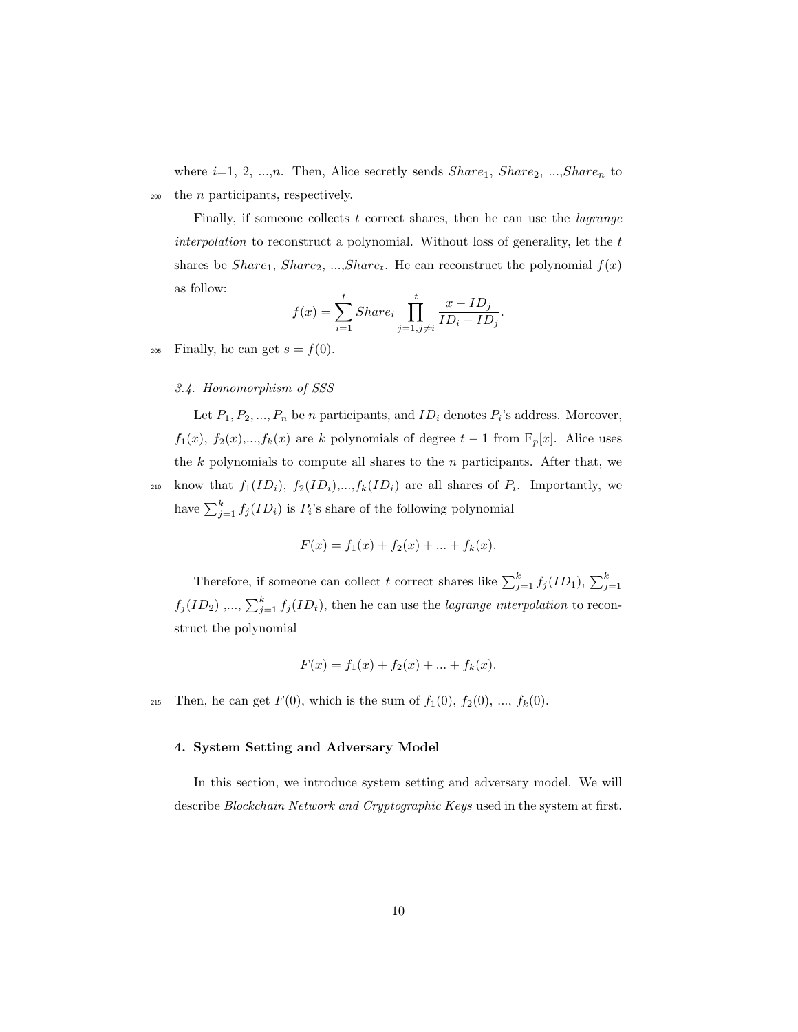where  $i=1, 2, ..., n$ . Then, Alice secretly sends  $Share_1$ ,  $Share_2$ , ..., $Share_n$  to <sup>200</sup> the n participants, respectively.

Finally, if someone collects  $t$  correct shares, then he can use the *lagrange* interpolation to reconstruct a polynomial. Without loss of generality, let the  $t$ shares be  $Share_1$ ,  $Share_2$ , ...,Share<sub>t</sub>. He can reconstruct the polynomial  $f(x)$ as follow:

$$
f(x) = \sum_{i=1}^{t}Share_i \prod_{j=1, j\neq i}^{t} \frac{x - ID_j}{ID_i - ID_j}.
$$

205 Finally, he can get  $s = f(0)$ .

### 3.4. Homomorphism of SSS

Let  $P_1, P_2, ..., P_n$  be *n* participants, and  $ID_i$  denotes  $P_i$ 's address. Moreover,  $f_1(x)$ ,  $f_2(x)$ ,..., $f_k(x)$  are k polynomials of degree  $t-1$  from  $\mathbb{F}_p[x]$ . Alice uses the  $k$  polynomials to compute all shares to the  $n$  participants. After that, we 210 know that  $f_1(ID_i), f_2(ID_i),...,f_k(ID_i)$  are all shares of  $P_i$ . Importantly, we

have  $\sum_{j=1}^{k} f_j(ID_i)$  is  $P_i$ 's share of the following polynomial

$$
F(x) = f_1(x) + f_2(x) + \dots + f_k(x).
$$

Therefore, if someone can collect t correct shares like  $\sum_{j=1}^{k} f_j(ID_1), \sum_{j=1}^{k}$  $f_j(ID_2), ..., \sum_{j=1}^k f_j(ID_t)$ , then he can use the *lagrange interpolation* to reconstruct the polynomial

$$
F(x) = f_1(x) + f_2(x) + \dots + f_k(x).
$$

215 Then, he can get  $F(0)$ , which is the sum of  $f_1(0)$ ,  $f_2(0)$ , ...,  $f_k(0)$ .

### 4. System Setting and Adversary Model

In this section, we introduce system setting and adversary model. We will describe Blockchain Network and Cryptographic Keys used in the system at first.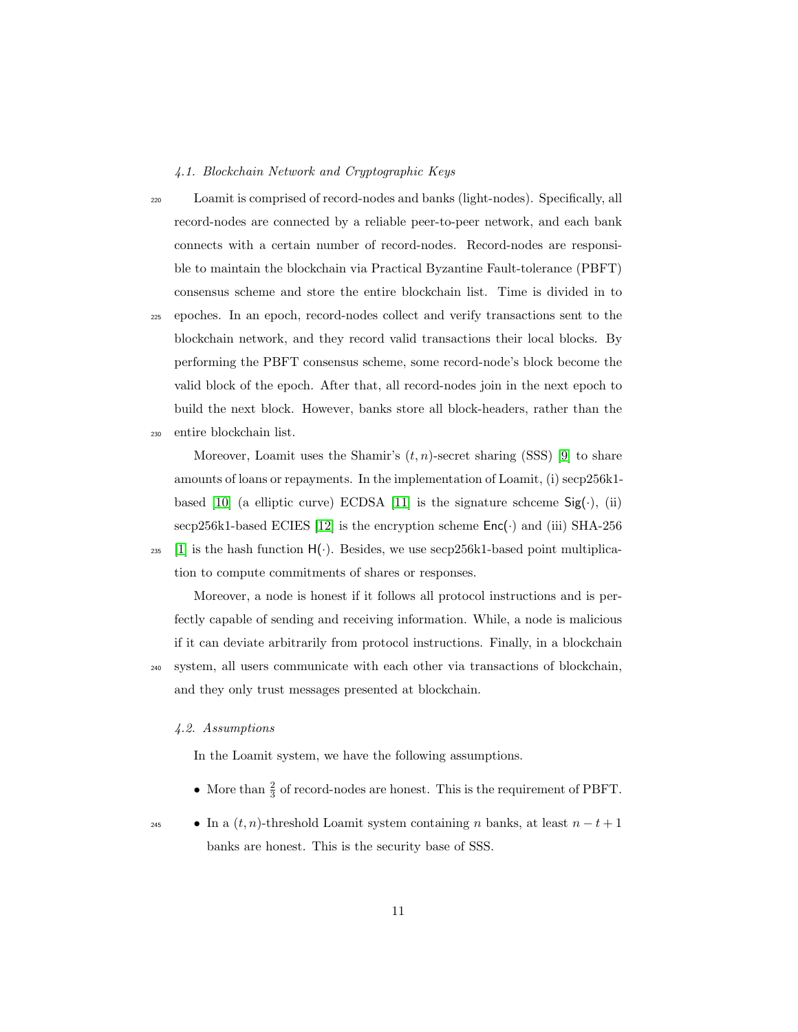### 4.1. Blockchain Network and Cryptographic Keys

<sup>220</sup> Loamit is comprised of record-nodes and banks (light-nodes). Specifically, all record-nodes are connected by a reliable peer-to-peer network, and each bank connects with a certain number of record-nodes. Record-nodes are responsible to maintain the blockchain via Practical Byzantine Fault-tolerance (PBFT) consensus scheme and store the entire blockchain list. Time is divided in to

<sup>225</sup> epoches. In an epoch, record-nodes collect and verify transactions sent to the blockchain network, and they record valid transactions their local blocks. By performing the PBFT consensus scheme, some record-node's block become the valid block of the epoch. After that, all record-nodes join in the next epoch to build the next block. However, banks store all block-headers, rather than the <sup>230</sup> entire blockchain list.

Moreover, Loamit uses the Shamir's  $(t, n)$ -secret sharing (SSS) [\[9\]](#page-26-5) to share amounts of loans or repayments. In the implementation of Loamit, (i) secp256k1- based [\[10\]](#page-26-6) (a elliptic curve) ECDSA [\[11\]](#page-27-0) is the signature schceme  $\text{Sig}(\cdot)$ , (ii) secp256k1-based ECIES [\[12\]](#page-27-1) is the encryption scheme  $Enc(\cdot)$  and (iii) SHA-256 <sup>235</sup> [\[1\]](#page-25-0) is the hash function  $H(\cdot)$ . Besides, we use secp256k1-based point multiplication to compute commitments of shares or responses.

Moreover, a node is honest if it follows all protocol instructions and is perfectly capable of sending and receiving information. While, a node is malicious if it can deviate arbitrarily from protocol instructions. Finally, in a blockchain <sup>240</sup> system, all users communicate with each other via transactions of blockchain,

and they only trust messages presented at blockchain.

# 4.2. Assumptions

In the Loamit system, we have the following assumptions.

- More than  $\frac{2}{3}$  of record-nodes are honest. This is the requirement of PBFT.
- In a  $(t, n)$ -threshold Loamit system containing n banks, at least  $n t + 1$ banks are honest. This is the security base of SSS.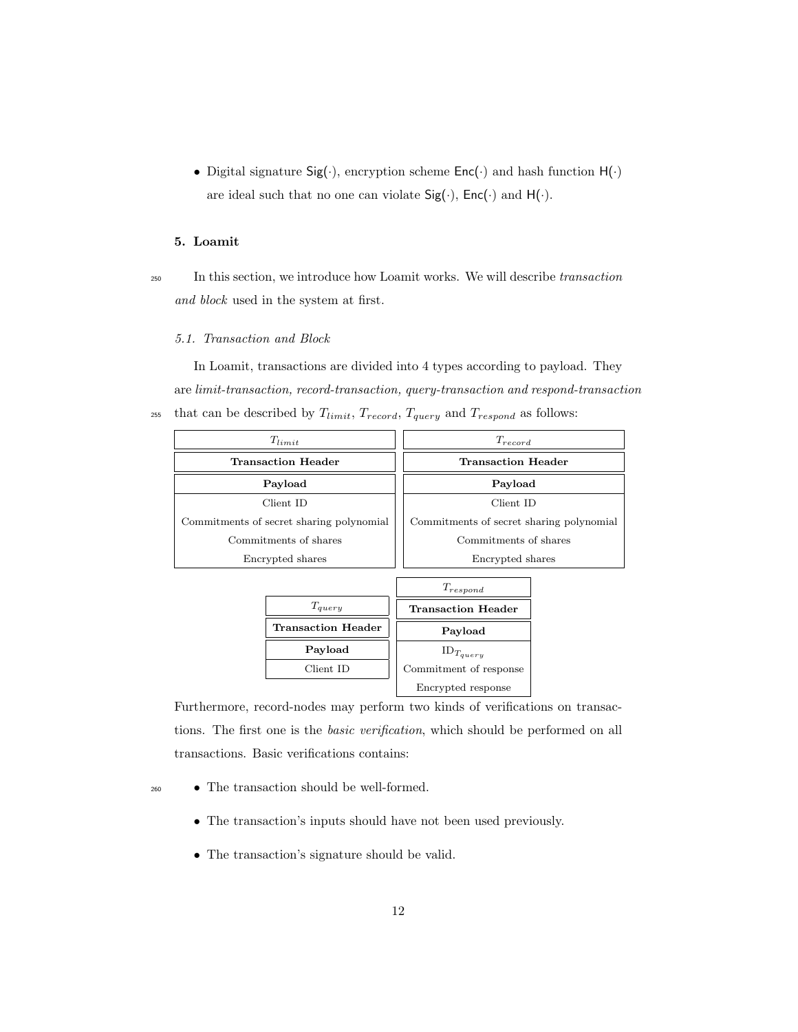• Digital signature  $Sig(\cdot)$ , encryption scheme  $Enc(\cdot)$  and hash function  $H(\cdot)$ are ideal such that no one can violate  $Sig(\cdot)$ ,  $Enc(\cdot)$  and  $H(\cdot)$ .

### 5. Loamit

<sup>250</sup> In this section, we introduce how Loamit works. We will describe transaction and block used in the system at first.

# 5.1. Transaction and Block

In Loamit, transactions are divided into 4 types according to payload. They are limit-transaction, record-transaction, query-transaction and respond-transaction <sup>255</sup> that can be described by  $T_{limit}$ ,  $T_{record}$ ,  $T_{query}$  and  $T_{respond}$  as follows:

| $T_{limit}$                              | $T_{record}$                             |
|------------------------------------------|------------------------------------------|
| <b>Transaction Header</b>                | <b>Transaction Header</b>                |
| Payload                                  | Payload                                  |
| Client ID                                | Client ID                                |
| Commitments of secret sharing polynomial | Commitments of secret sharing polynomial |
| Commitments of shares                    | Commitments of shares                    |
| Encrypted shares                         | Encrypted shares                         |

|                           | $T_{respond}$             |
|---------------------------|---------------------------|
| $T_{\alpha uerv}$         | <b>Transaction Header</b> |
| <b>Transaction Header</b> | Payload                   |
| Payload                   | $ID_{T_{query}}$          |
| Client ID                 | Commitment of response    |
|                           | Encrypted response        |

Furthermore, record-nodes may perform two kinds of verifications on transactions. The first one is the basic verification, which should be performed on all transactions. Basic verifications contains:

- <sup>260</sup> The transaction should be well-formed.
	- The transaction's inputs should have not been used previously.
	- The transaction's signature should be valid.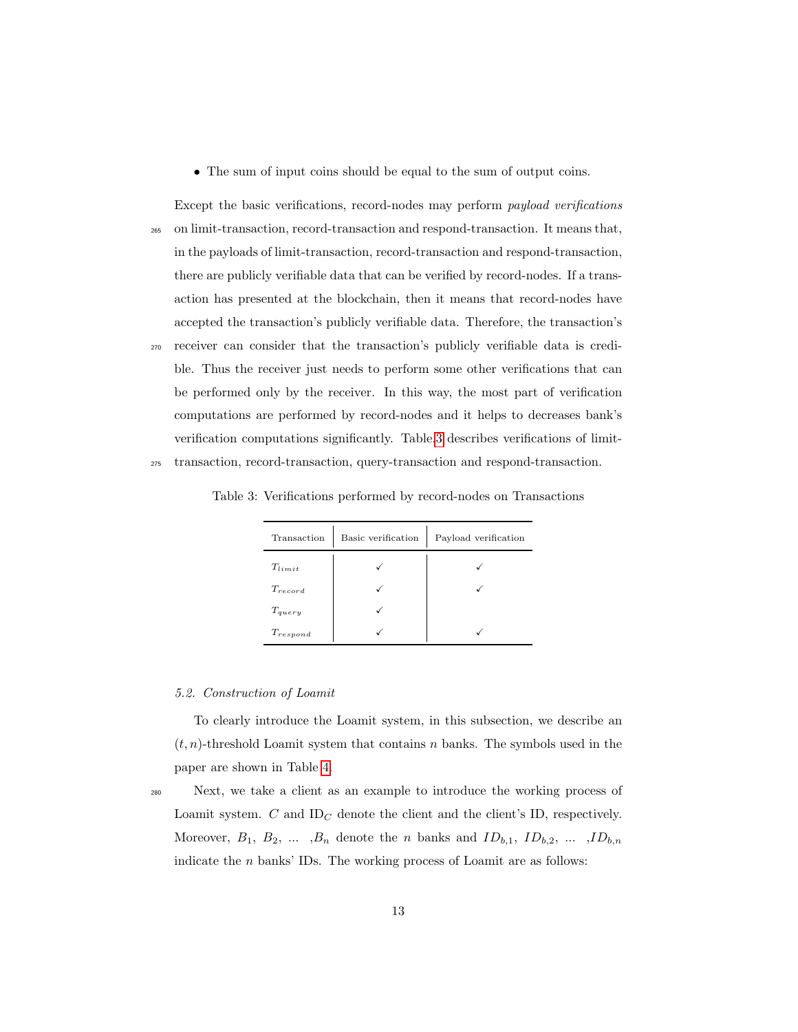• The sum of input coins should be equal to the sum of output coins.

Except the basic verifications, record-nodes may perform payload verifications <sup>265</sup> on limit-transaction, record-transaction and respond-transaction. It means that, in the payloads of limit-transaction, record-transaction and respond-transaction, there are publicly verifiable data that can be verified by record-nodes. If a transaction has presented at the blockchain, then it means that record-nodes have accepted the transaction's publicly verifiable data. Therefore, the transaction's <sup>270</sup> receiver can consider that the transaction's publicly verifiable data is credible. Thus the receiver just needs to perform some other verifications that can be performed only by the receiver. In this way, the most part of verification computations are performed by record-nodes and it helps to decreases bank's verification computations significantly. Table[.3](#page-12-0) describes verifications of limit-<sup>275</sup> transaction, record-transaction, query-transaction and respond-transaction.

| Transaction   | Basic verification | Payload verification |
|---------------|--------------------|----------------------|
| $T_{limit}$   |                    |                      |
| $T_{record}$  |                    |                      |
| $T_{query}$   |                    |                      |
| $T_{respond}$ |                    |                      |

<span id="page-12-0"></span>Table 3: Verifications performed by record-nodes on Transactions

#### <span id="page-12-1"></span>5.2. Construction of Loamit

To clearly introduce the Loamit system, in this subsection, we describe an  $(t, n)$ -threshold Loamit system that contains n banks. The symbols used in the paper are shown in Table [4.](#page-13-0)

<sup>280</sup> Next, we take a client as an example to introduce the working process of Loamit system.  $C$  and ID<sub>C</sub> denote the client and the client's ID, respectively. Moreover,  $B_1$ ,  $B_2$ , ...,  $B_n$  denote the *n* banks and  $ID_{b,1}$ ,  $ID_{b,2}$ , ...,  $ID_{b,n}$ indicate the  $n$  banks' IDs. The working process of Loamit are as follows: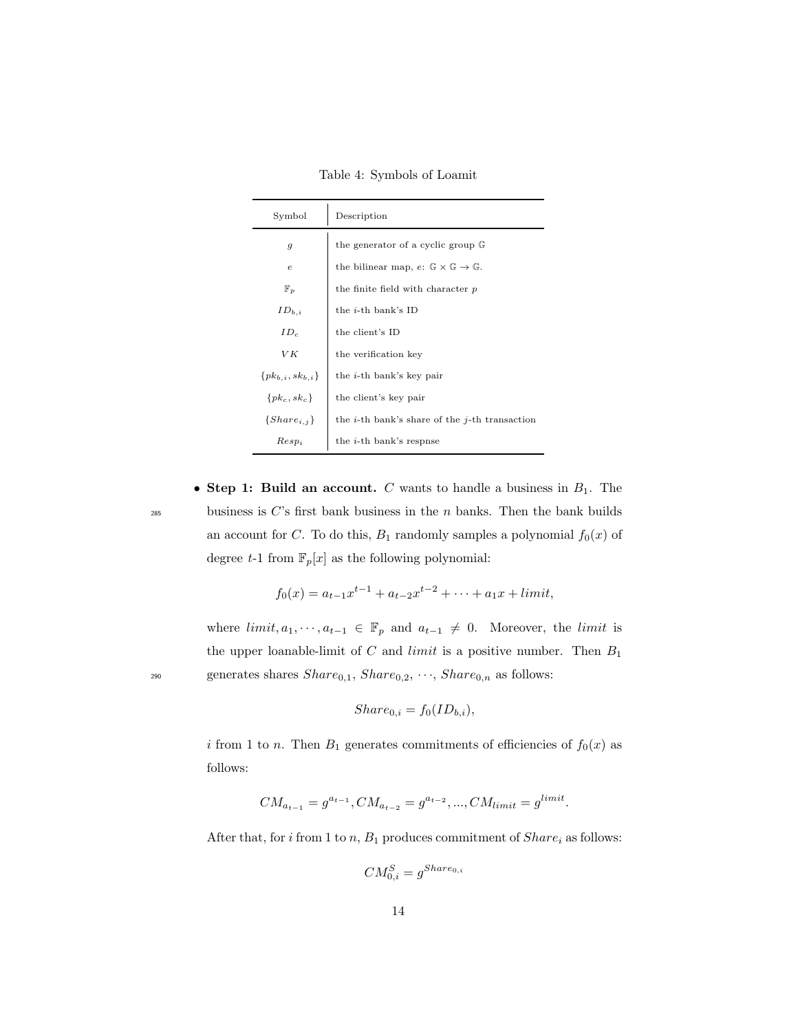Table 4: Symbols of Loamit

<span id="page-13-0"></span>

| Symbol                    | Description                                                          |
|---------------------------|----------------------------------------------------------------------|
| $\boldsymbol{g}$          | the generator of a cyclic group G                                    |
| $\epsilon$                | the bilinear map, $e: \mathbb{G} \times \mathbb{G} \to \mathbb{G}$ . |
| $\mathbb{F}_p$            | the finite field with character p                                    |
| $ID_{b,i}$                | the $i$ -th bank's ID                                                |
| $ID_c$                    | the client's ID                                                      |
| VК                        | the verification key                                                 |
| $\{pk_{b,i}, sk_{b,i}\}\$ | the $i$ -th bank's key pair                                          |
| $\{pk_c, sk_c\}$          | the client's key pair                                                |
| $\{Share_{i,j}\}$         | the <i>i</i> -th bank's share of the <i>j</i> -th transaction        |
| $Resp_i$                  | the <i>i</i> -th bank's respnse                                      |

• Step 1: Build an account. C wants to handle a business in  $B_1$ . The  $285$  business is C's first bank business in the n banks. Then the bank builds an account for C. To do this,  $B_1$  randomly samples a polynomial  $f_0(x)$  of degree  $t-1$  from  $\mathbb{F}_p[x]$  as the following polynomial:

$$
f_0(x) = a_{t-1}x^{t-1} + a_{t-2}x^{t-2} + \dots + a_1x + limit,
$$

where  $limit, a_1, \dots, a_{t-1} \in \mathbb{F}_p$  and  $a_{t-1} \neq 0$ . Moreover, the *limit* is the upper loanable-limit of  $C$  and *limit* is a positive number. Then  $B_1$ 290 generates shares  $Share_{0,1}$ ,  $Share_{0,2}$ ,  $\cdots$ ,  $Share_{0,n}$  as follows:

$$
Share_{0,i} = f_0(ID_{b,i}),
$$

i from 1 to n. Then  $B_1$  generates commitments of efficiencies of  $f_0(x)$  as follows:

$$
CM_{a_{t-1}} = g^{a_{t-1}}, CM_{a_{t-2}} = g^{a_{t-2}}, ..., CM_{limit} = g^{limit}.
$$

After that, for i from 1 to n,  $B_1$  produces commitment of  $Share_i$  as follows:

 $CM_{0,i}^S = g^{Share_{0,i}}$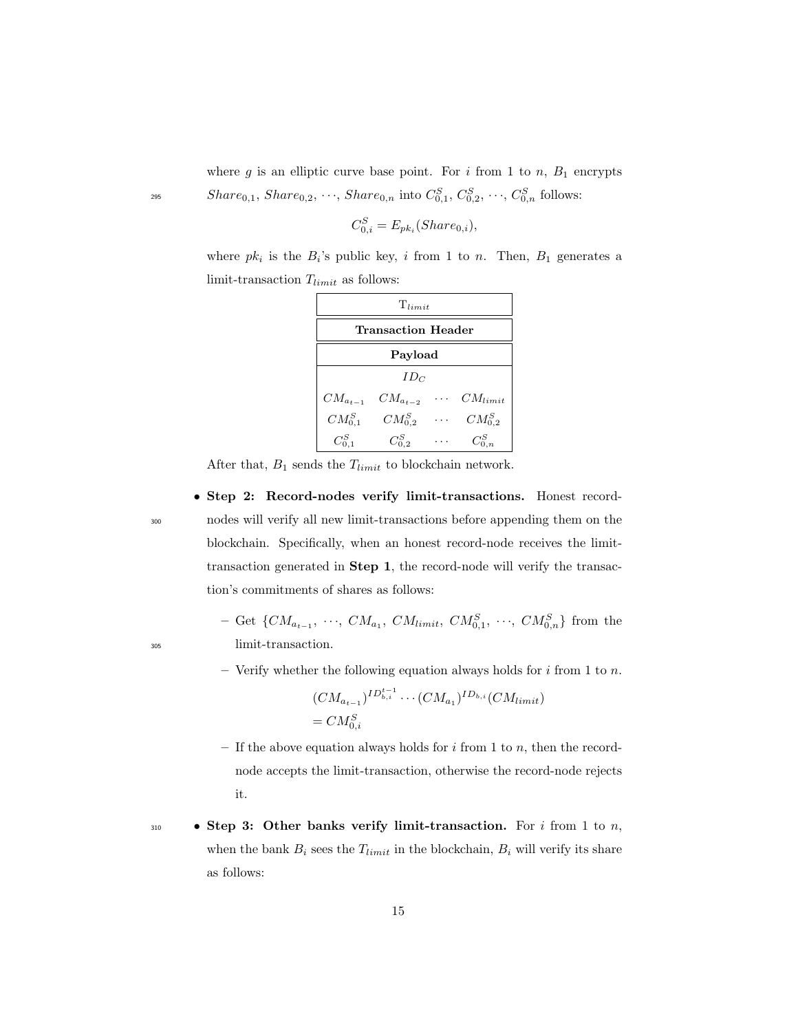where g is an elliptic curve base point. For i from 1 to n,  $B_1$  encrypts  $\mathit{Share}_{0,1}, \mathit{Share}_{0,2}, \dots, \mathit{Share}_{0,n} \text{ into } C_{0,1}^S, C_{0,2}^S, \dots, C_{0,n}^S \text{ follows:}$ 

$$
C_{0,i}^S = E_{pk_i}(Share_{0,i}),
$$

where  $pk_i$  is the  $B_i$ 's public key, i from 1 to n. Then,  $B_1$  generates a limit-transaction  $T_{limit}$  as follows:

| $T_{limit}$        |                |  |              |
|--------------------|----------------|--|--------------|
| Transaction Header |                |  |              |
| Payload            |                |  |              |
| $ID_C$             |                |  |              |
| $CM_{a_{t-1}}$     | $CM_{a_{t-2}}$ |  | $CM_{limit}$ |
| $CM_{0,1}^S$       | $CM^S_{0,2}$   |  | $CM_{0.2}^S$ |
|                    | $C_{0.2}^S$    |  |              |

After that,  $B_1$  sends the  $T_{limit}$  to blockchain network.

• Step 2: Record-nodes verify limit-transactions. Honest record-<sup>300</sup> nodes will verify all new limit-transactions before appending them on the blockchain. Specifically, when an honest record-node receives the limittransaction generated in Step 1, the record-node will verify the transaction's commitments of shares as follows:

 $-$  Get { $CM_{a_{t-1}}, \ldots, CM_{a_1}, CM_{limit}, CM_{0,1}^S, \ldots, CM_{0,n}^S$ } from the <sup>305</sup> limit-transaction.

– Verify whether the following equation always holds for  $i$  from 1 to  $n$ .

$$
(CM_{a_{t-1}})^{ID_{b,i}^{t-1}} \cdots (CM_{a_1})^{ID_{b,i}} (CM_{limit})
$$
  
=  $CM_{0,i}^S$ 

- If the above equation always holds for  $i$  from 1 to  $n$ , then the recordnode accepts the limit-transaction, otherwise the record-node rejects it.
- 310 Step 3: Other banks verify limit-transaction. For i from 1 to n, when the bank  $B_i$  sees the  $T_{limit}$  in the blockchain,  $B_i$  will verify its share as follows: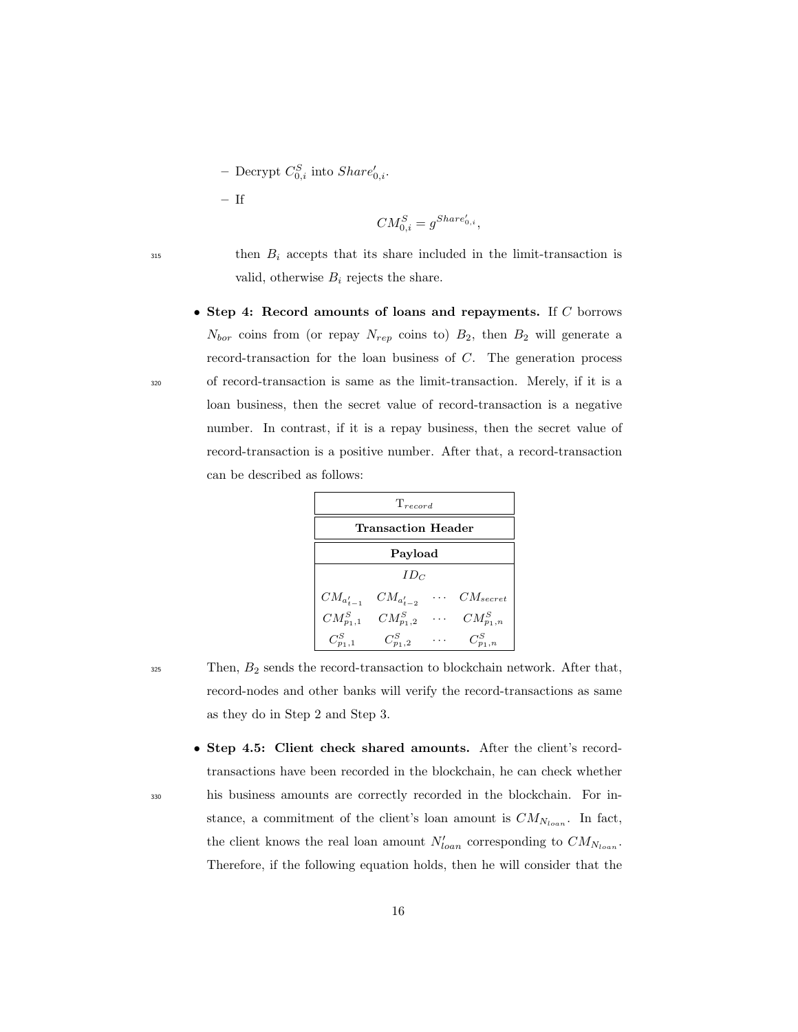- Decrypt  $C_{0,i}^S$  into  $Share'_{0,i}$ .

– If

$$
CM_{0,i}^S = g^{Share'_{0,i}},
$$

 $315$  then  $B_i$  accepts that its share included in the limit-transaction is valid, otherwise  $B_i$  rejects the share.

• Step 4: Record amounts of loans and repayments. If  $C$  borrows  $N_{bor}$  coins from (or repay  $N_{rep}$  coins to)  $B_2$ , then  $B_2$  will generate a record-transaction for the loan business of C. The generation process <sup>320</sup> of record-transaction is same as the limit-transaction. Merely, if it is a loan business, then the secret value of record-transaction is a negative number. In contrast, if it is a repay business, then the secret value of record-transaction is a positive number. After that, a record-transaction can be described as follows:

| $T_{record}$          |                 |            |                |
|-----------------------|-----------------|------------|----------------|
| Transaction Header    |                 |            |                |
| Payload               |                 |            |                |
| $ID_C$                |                 |            |                |
| $CM_{a_{t-1}^\prime}$ | $CM_{a'_{t-2}}$ | $\sim 100$ | $CM_{secret}$  |
| $CM_{p_1,1}^S$        | $CM_{p_1,2}^S$  | $\cdots$   | $CM_{p_1,n}^S$ |
| $C_{n_1-1}^S$         | $C_{n_1,2}^S$   |            | $C_{n_1,n}^S$  |

 $325$  Then,  $B_2$  sends the record-transaction to blockchain network. After that, record-nodes and other banks will verify the record-transactions as same as they do in Step 2 and Step 3.

• Step 4.5: Client check shared amounts. After the client's recordtransactions have been recorded in the blockchain, he can check whether <sup>330</sup> his business amounts are correctly recorded in the blockchain. For instance, a commitment of the client's loan amount is  $CM_{N_{loan}}$ . In fact, the client knows the real loan amount  $N'_{loan}$  corresponding to  $CM_{N_{loan}}$ . Therefore, if the following equation holds, then he will consider that the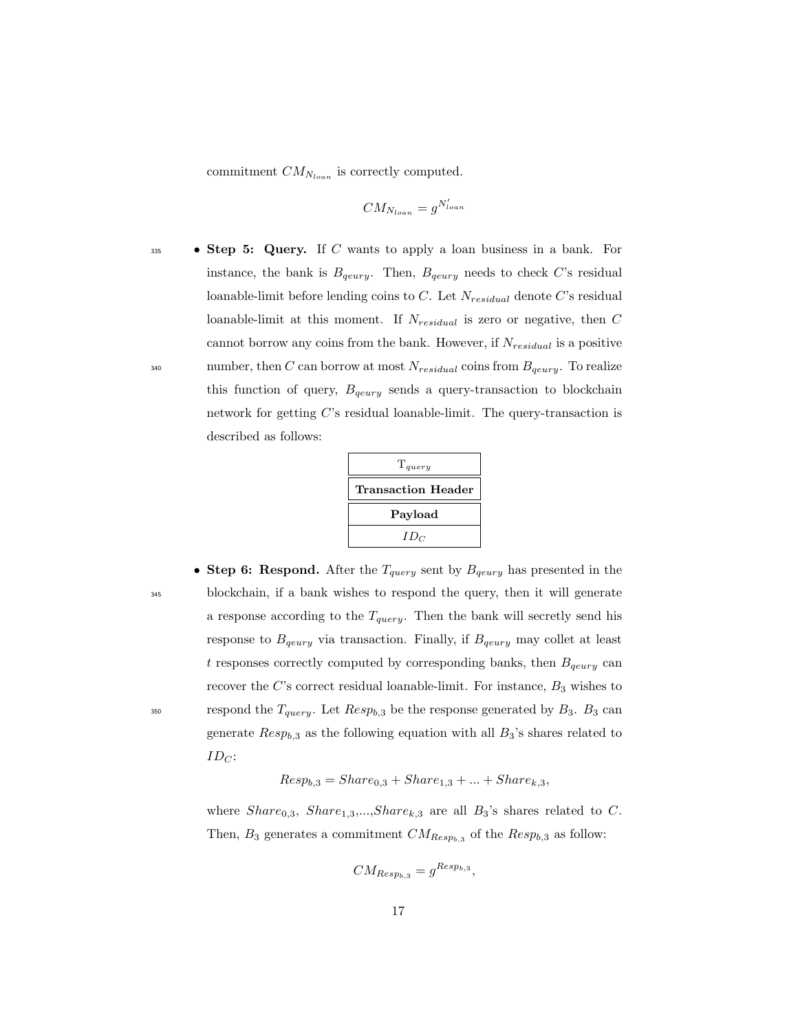commitment  $CM_{N_{loan}}$  is correctly computed.

$$
CM_{N_{loan}} = g^{N'_{loan}}
$$

 $\bullet$  **Step 5: Query.** If C wants to apply a loan business in a bank. For instance, the bank is  $B_{qeury}$ . Then,  $B_{qeury}$  needs to check C's residual loanable-limit before lending coins to C. Let  $N_{residual}$  denote C's residual loanable-limit at this moment. If  $N_{residual}$  is zero or negative, then  $C$ cannot borrow any coins from the bank. However, if  $N_{residual}$  is a positive 340 number, then C can borrow at most  $N_{residual}$  coins from  $B_{qeury}$ . To realize this function of query,  $B_{qeury}$  sends a query-transaction to blockchain network for getting C's residual loanable-limit. The query-transaction is described as follows:

| $T_{query}$               |  |  |
|---------------------------|--|--|
| <b>Transaction Header</b> |  |  |
| Payload                   |  |  |
| $ID_C$                    |  |  |

• Step 6: Respond. After the  $T_{query}$  sent by  $B_{query}$  has presented in the <sup>345</sup> blockchain, if a bank wishes to respond the query, then it will generate a response according to the  $T_{query}$ . Then the bank will secretly send his response to  $B_{qeury}$  via transaction. Finally, if  $B_{qeury}$  may collet at least t responses correctly computed by corresponding banks, then  $B_{qeury}$  can recover the  $C$ 's correct residual loanable-limit. For instance,  $B_3$  wishes to <sup>350</sup> respond the  $T_{query}$ . Let  $Resp_{b,3}$  be the response generated by  $B_3$ .  $B_3$  can generate  $Resp_{b,3}$  as the following equation with all  $B_3$ 's shares related to  $ID_C$ :

 $Resp_{b,3} = Share_{0,3} + Share_{1,3} + ... + Share_{k,3}$ 

where  $Share_{0,3}$ ,  $Share_{1,3}$ ,..., $Share_{k,3}$  are all  $B_3$ 's shares related to C. Then,  $B_3$  generates a commitment  $CM_{Resp_{b,3}}$  of the  $Resp_{b,3}$  as follow:

$$
CM_{Resp_{b,3}} = g^{Resp_{b,3}},
$$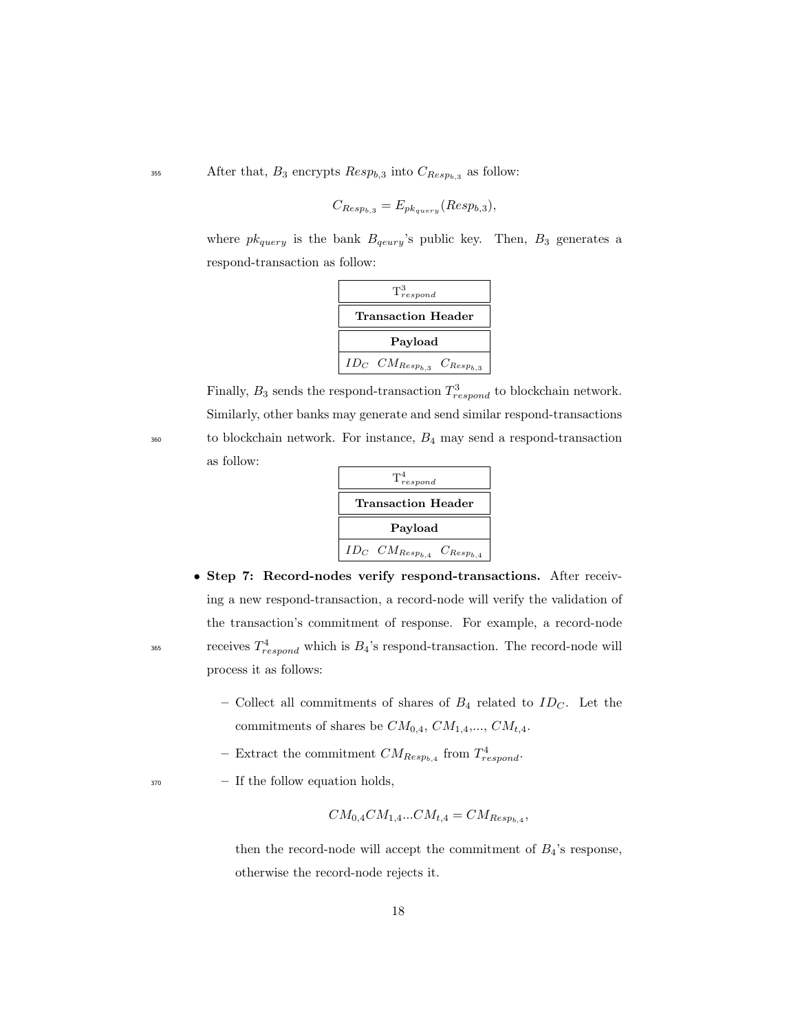<sup>355</sup> After that,  $B_3$  encrypts  $\mathbb{R}e^{i\theta}$ , and  $\mathbb{R}e^{i\theta}$  as follow:

$$
C_{Resp_{b,3}} = E_{pk_{query}}(Resp_{b,3}),
$$

where  $pk_{query}$  is the bank  $B_{qeury}$ 's public key. Then,  $B_3$  generates a respond-transaction as follow:

| $T^3_{respond}$                           |  |  |
|-------------------------------------------|--|--|
| <b>Transaction Header</b>                 |  |  |
| Payload                                   |  |  |
| $ID_C$ $CM_{Resp_{b,3}}$ $C_{Resp_{b,3}}$ |  |  |

Finally,  $B_3$  sends the respond-transaction  $T^3_{respond}$  to blockchain network. Similarly, other banks may generate and send similar respond-transactions  $360$  to blockchain network. For instance,  $B_4$  may send a respond-transaction as follow:

| $T^4_{respond}$                                        |  |  |
|--------------------------------------------------------|--|--|
| Transaction Header                                     |  |  |
| Payload                                                |  |  |
| $ID_C$ $CM_{Resp_{b,4}}$<br>$C_{\mathcal{R}esp_{b,4}}$ |  |  |

- Step 7: Record-nodes verify respond-transactions. After receiving a new respond-transaction, a record-node will verify the validation of the transaction's commitment of response. For example, a record-node  $T^4_{respond}$  which is  $B_4$ 's respond-transaction. The record-node will process it as follows:
	- Collect all commitments of shares of  $B_4$  related to  $ID_C$ . Let the commitments of shares be  $CM_{0,4}$ ,  $CM_{1,4},..., CM_{t,4}$ .
	- Extract the commitment  $CM_{Resp_{b,4}}$  from  $T^4_{respond}$ .
- <sup>370</sup> If the follow equation holds,

$$
CM_{0,4}CM_{1,4}...CM_{t,4} = CM_{Resp_{b,4}},
$$

then the record-node will accept the commitment of  $B_4$ 's response, otherwise the record-node rejects it.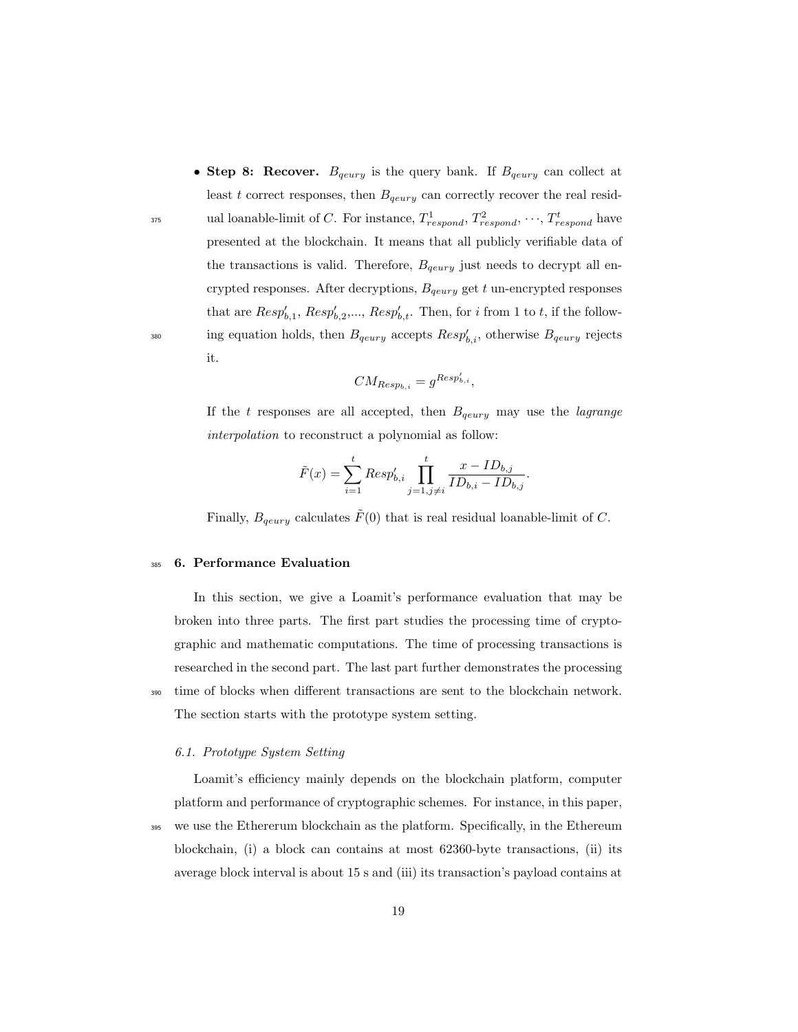• Step 8: Recover.  $B_{qeury}$  is the query bank. If  $B_{qeury}$  can collect at least t correct responses, then  $B_{qeury}$  can correctly recover the real resid-<sup>375</sup> ual loanable-limit of C. For instance,  $T^1_{respond}$ ,  $T^2_{respond}$ ,  $\cdots$ ,  $T^t_{respond}$  have presented at the blockchain. It means that all publicly verifiable data of the transactions is valid. Therefore,  $B_{\text{geury}}$  just needs to decrypt all encrypted responses. After decryptions,  $B_{\text{query}}$  get t un-encrypted responses that are  $Resp'_{b,1}$ ,  $Resp'_{b,2}$ ,...,  $Resp'_{b,t}$ . Then, for i from 1 to t, if the follow-<sup>380</sup> ing equation holds, then  $B_{qeury}$  accepts  $Resp'_{b,i}$ , otherwise  $B_{qeury}$  rejects it.

$$
CM_{Resp_{b,i}} = g^{Resp'_{b,i}},
$$

If the t responses are all accepted, then  $B_{qeury}$  may use the *lagrange* interpolation to reconstruct a polynomial as follow:

$$
\tilde{F}(x) = \sum_{i=1}^{t} Resp'_{b,i} \prod_{j=1, j \neq i}^{t} \frac{x - ID_{b,j}}{ID_{b,i} - ID_{b,j}}.
$$

Finally,  $B_{\text{geury}}$  calculates  $\tilde{F}(0)$  that is real residual loanable-limit of C.

# <sup>385</sup> 6. Performance Evaluation

In this section, we give a Loamit's performance evaluation that may be broken into three parts. The first part studies the processing time of cryptographic and mathematic computations. The time of processing transactions is researched in the second part. The last part further demonstrates the processing <sup>390</sup> time of blocks when different transactions are sent to the blockchain network. The section starts with the prototype system setting.

### 6.1. Prototype System Setting

Loamit's efficiency mainly depends on the blockchain platform, computer platform and performance of cryptographic schemes. For instance, in this paper, <sup>395</sup> we use the Ethererum blockchain as the platform. Specifically, in the Ethereum blockchain, (i) a block can contains at most 62360-byte transactions, (ii) its average block interval is about 15 s and (iii) its transaction's payload contains at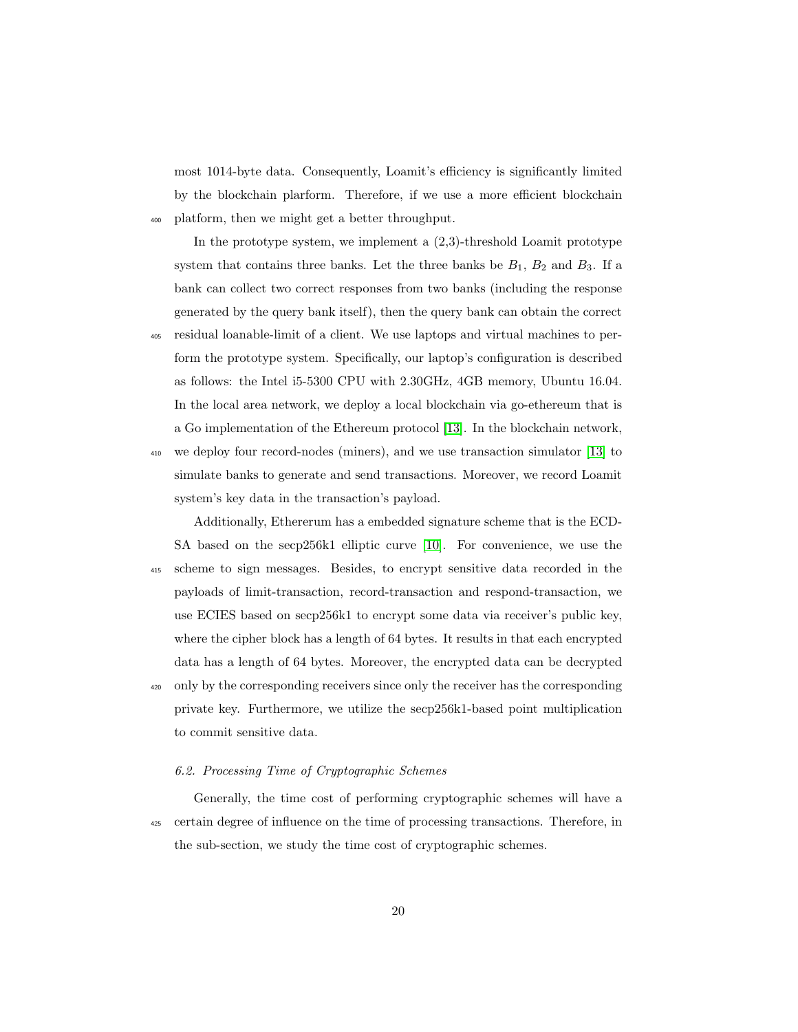most 1014-byte data. Consequently, Loamit's efficiency is significantly limited by the blockchain plarform. Therefore, if we use a more efficient blockchain <sup>400</sup> platform, then we might get a better throughput.

In the prototype system, we implement a (2,3)-threshold Loamit prototype system that contains three banks. Let the three banks be  $B_1$ ,  $B_2$  and  $B_3$ . If a bank can collect two correct responses from two banks (including the response generated by the query bank itself), then the query bank can obtain the correct

<sup>405</sup> residual loanable-limit of a client. We use laptops and virtual machines to perform the prototype system. Specifically, our laptop's configuration is described as follows: the Intel i5-5300 CPU with 2.30GHz, 4GB memory, Ubuntu 16.04. In the local area network, we deploy a local blockchain via go-ethereum that is a Go implementation of the Ethereum protocol [\[13\]](#page-27-2). In the blockchain network,

<sup>410</sup> we deploy four record-nodes (miners), and we use transaction simulator [\[13\]](#page-27-2) to simulate banks to generate and send transactions. Moreover, we record Loamit system's key data in the transaction's payload.

Additionally, Ethererum has a embedded signature scheme that is the ECD-SA based on the secp256k1 elliptic curve [\[10\]](#page-26-6). For convenience, we use the <sup>415</sup> scheme to sign messages. Besides, to encrypt sensitive data recorded in the payloads of limit-transaction, record-transaction and respond-transaction, we use ECIES based on secp256k1 to encrypt some data via receiver's public key, where the cipher block has a length of 64 bytes. It results in that each encrypted data has a length of 64 bytes. Moreover, the encrypted data can be decrypted <sup>420</sup> only by the corresponding receivers since only the receiver has the corresponding private key. Furthermore, we utilize the secp256k1-based point multiplication to commit sensitive data.

# 6.2. Processing Time of Cryptographic Schemes

Generally, the time cost of performing cryptographic schemes will have a <sup>425</sup> certain degree of influence on the time of processing transactions. Therefore, in the sub-section, we study the time cost of cryptographic schemes.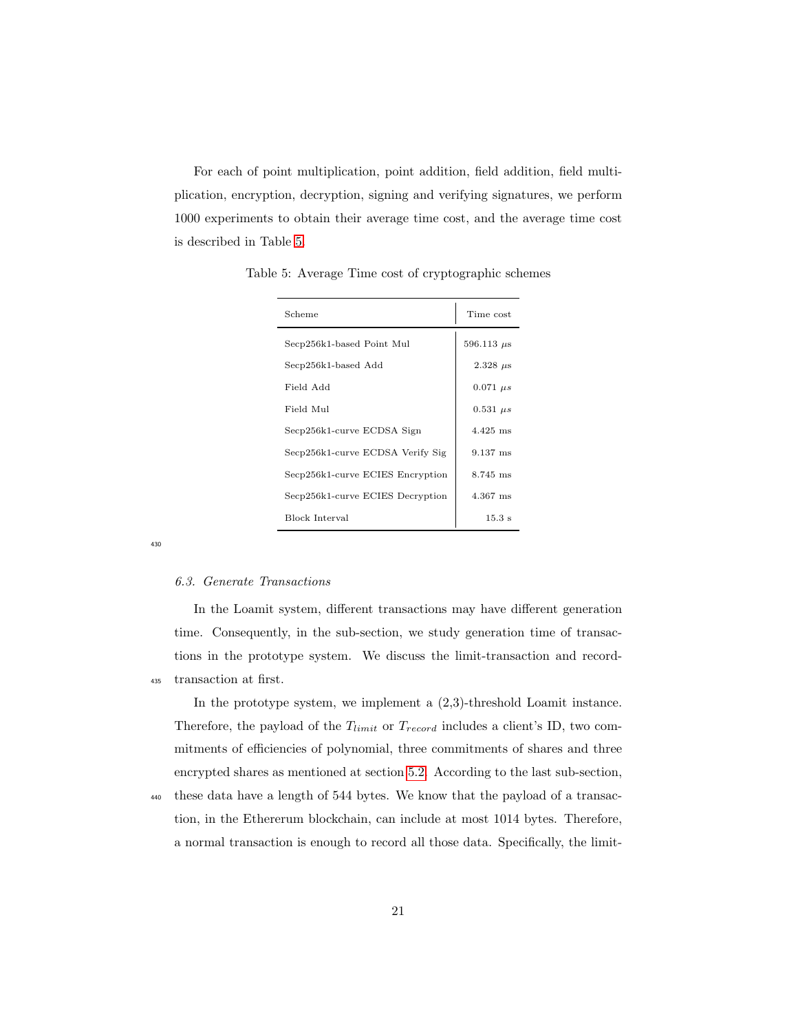For each of point multiplication, point addition, field addition, field multiplication, encryption, decryption, signing and verifying signatures, we perform 1000 experiments to obtain their average time cost, and the average time cost is described in Table [5.](#page-20-0)

| Scheme                           | Time cost         |
|----------------------------------|-------------------|
| Secp256k1-based Point Mul        | $596.113 \ \mu s$ |
| Secp256k1-based Add              | $2.328 \ \mu s$   |
| Field Add                        | $0.071 \ \mu s$   |
| Field Mul                        | $0.531 \; \mu s$  |
| Secp256k1-curve ECDSA Sign       | $4.425$ ms        |
| Secp256k1-curve ECDSA Verify Sig | $9.137$ ms        |
| Secp256k1-curve ECIES Encryption | $8.745$ ms        |
| Secp256k1-curve ECIES Decryption | 4.367 ms          |
| <b>Block Interval</b>            | $15.3 \text{ s}$  |

<span id="page-20-0"></span>Table 5: Average Time cost of cryptographic schemes

430

#### 6.3. Generate Transactions

In the Loamit system, different transactions may have different generation time. Consequently, in the sub-section, we study generation time of transactions in the prototype system. We discuss the limit-transaction and record-<sup>435</sup> transaction at first.

In the prototype system, we implement a (2,3)-threshold Loamit instance. Therefore, the payload of the  $T_{limit}$  or  $T_{record}$  includes a client's ID, two commitments of efficiencies of polynomial, three commitments of shares and three encrypted shares as mentioned at section [5.2.](#page-12-1) According to the last sub-section,

<sup>440</sup> these data have a length of 544 bytes. We know that the payload of a transaction, in the Ethererum blockchain, can include at most 1014 bytes. Therefore, a normal transaction is enough to record all those data. Specifically, the limit-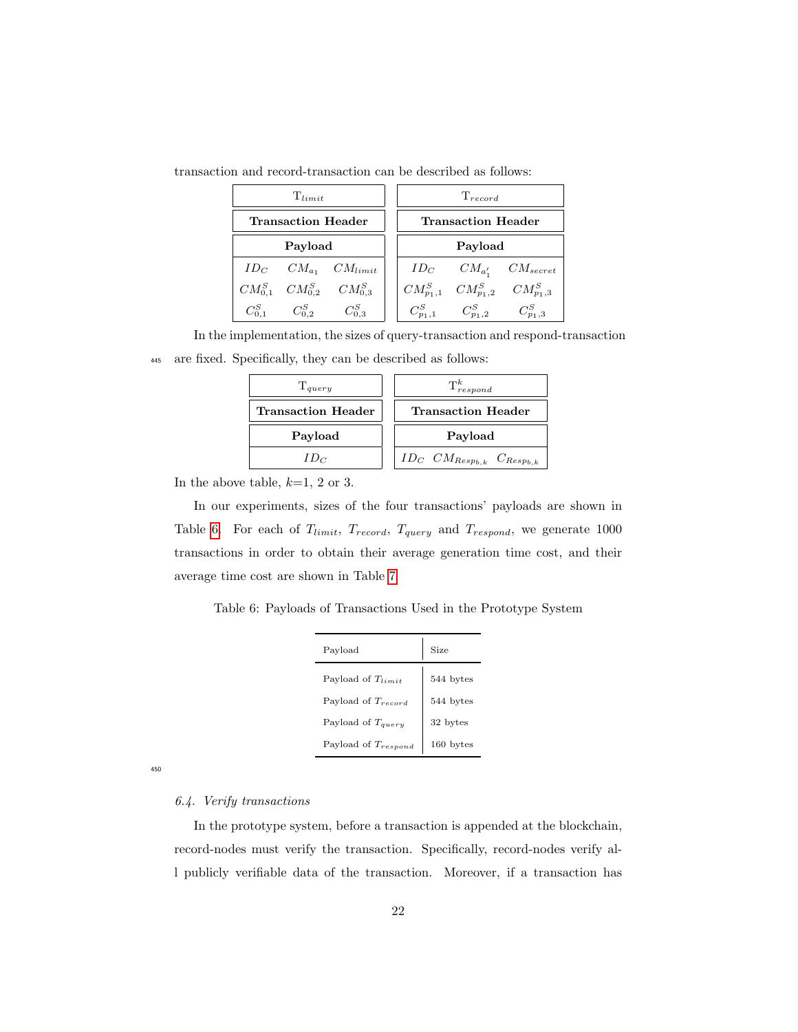| $T_{limit}$               |                                     | $T_{record}$                           |  |                                           |                                              |
|---------------------------|-------------------------------------|----------------------------------------|--|-------------------------------------------|----------------------------------------------|
| <b>Transaction Header</b> |                                     | Transaction Header                     |  |                                           |                                              |
| Payload                   |                                     | Payload                                |  |                                           |                                              |
|                           |                                     | $ID_C$ $CM_{a_1}$ $CM_{limit}$         |  |                                           | $ID_C$ $CM_{a'_1}$ $CM_{secret}$             |
|                           |                                     | $CM_{0.1}^S$ $CM_{0.2}^S$ $CM_{0.3}^S$ |  |                                           | $CM_{p_1,1}^S$ $CM_{p_1,2}^S$ $CM_{p_1,3}^S$ |
|                           | $C_{0.1}^S$ $C_{0.2}^S$ $C_{0.3}^S$ |                                        |  | $C_{p_1,1}^S$ $C_{p_1,2}^S$ $C_{p_1,3}^S$ |                                              |

transaction and record-transaction can be described as follows:

In the implementation, the sizes of query-transaction and respond-transaction <sup>445</sup> are fixed. Specifically, they can be described as follows:

| $T_{query}$               | $\mathrm{T}^k_{respond}$                          |  |
|---------------------------|---------------------------------------------------|--|
| <b>Transaction Header</b> | <b>Transaction Header</b>                         |  |
| Payload                   | Payload                                           |  |
| $ID_C$                    | $ID_C \quad CM_{Resp_{b,k}} \quad C_{Resp_{b,k}}$ |  |

In the above table,  $k=1, 2$  or 3.

In our experiments, sizes of the four transactions' payloads are shown in Table [6.](#page-21-0) For each of  $T_{limit}$ ,  $T_{record}$ ,  $T_{query}$  and  $T_{respond}$ , we generate 1000 transactions in order to obtain their average generation time cost, and their average time cost are shown in Table [7.](#page-23-0)

<span id="page-21-0"></span>Table 6: Payloads of Transactions Used in the Prototype System

| Payload                  | Size      |
|--------------------------|-----------|
| Payload of $T_{limit}$   | 544 bytes |
| Payload of $T_{record}$  | 544 bytes |
| Payload of $T_{query}$   | 32 bytes  |
| Payload of $T_{respond}$ | 160 bytes |

450

# 6.4. Verify transactions

In the prototype system, before a transaction is appended at the blockchain, record-nodes must verify the transaction. Specifically, record-nodes verify all publicly verifiable data of the transaction. Moreover, if a transaction has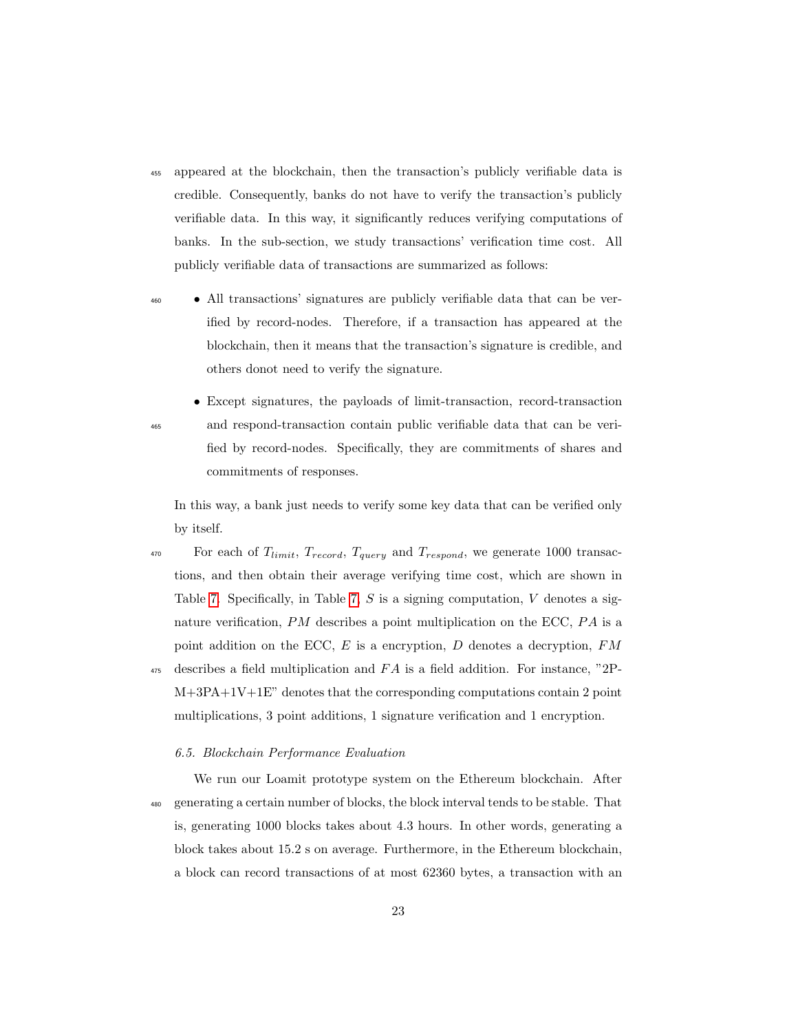- <sup>455</sup> appeared at the blockchain, then the transaction's publicly verifiable data is credible. Consequently, banks do not have to verify the transaction's publicly verifiable data. In this way, it significantly reduces verifying computations of banks. In the sub-section, we study transactions' verification time cost. All publicly verifiable data of transactions are summarized as follows:
- <sup>460</sup> All transactions' signatures are publicly verifiable data that can be verified by record-nodes. Therefore, if a transaction has appeared at the blockchain, then it means that the transaction's signature is credible, and others donot need to verify the signature.

• Except signatures, the payloads of limit-transaction, record-transaction <sup>465</sup> and respond-transaction contain public verifiable data that can be verified by record-nodes. Specifically, they are commitments of shares and commitments of responses.

In this way, a bank just needs to verify some key data that can be verified only by itself.

<sup>470</sup> For each of  $T_{limit}$ ,  $T_{record}$ ,  $T_{query}$  and  $T_{respond}$ , we generate 1000 transactions, and then obtain their average verifying time cost, which are shown in Table [7.](#page-23-0) Specifically, in Table [7,](#page-23-0)  $S$  is a signing computation,  $V$  denotes a signature verification,  $PM$  describes a point multiplication on the ECC,  $PA$  is a point addition on the ECC,  $E$  is a encryption,  $D$  denotes a decryption,  $FM$  $_{475}$  describes a field multiplication and FA is a field addition. For instance, "2P-M+3PA+1V+1E" denotes that the corresponding computations contain 2 point multiplications, 3 point additions, 1 signature verification and 1 encryption.

### 6.5. Blockchain Performance Evaluation

We run our Loamit prototype system on the Ethereum blockchain. After <sup>480</sup> generating a certain number of blocks, the block interval tends to be stable. That is, generating 1000 blocks takes about 4.3 hours. In other words, generating a block takes about 15.2 s on average. Furthermore, in the Ethereum blockchain, a block can record transactions of at most 62360 bytes, a transaction with an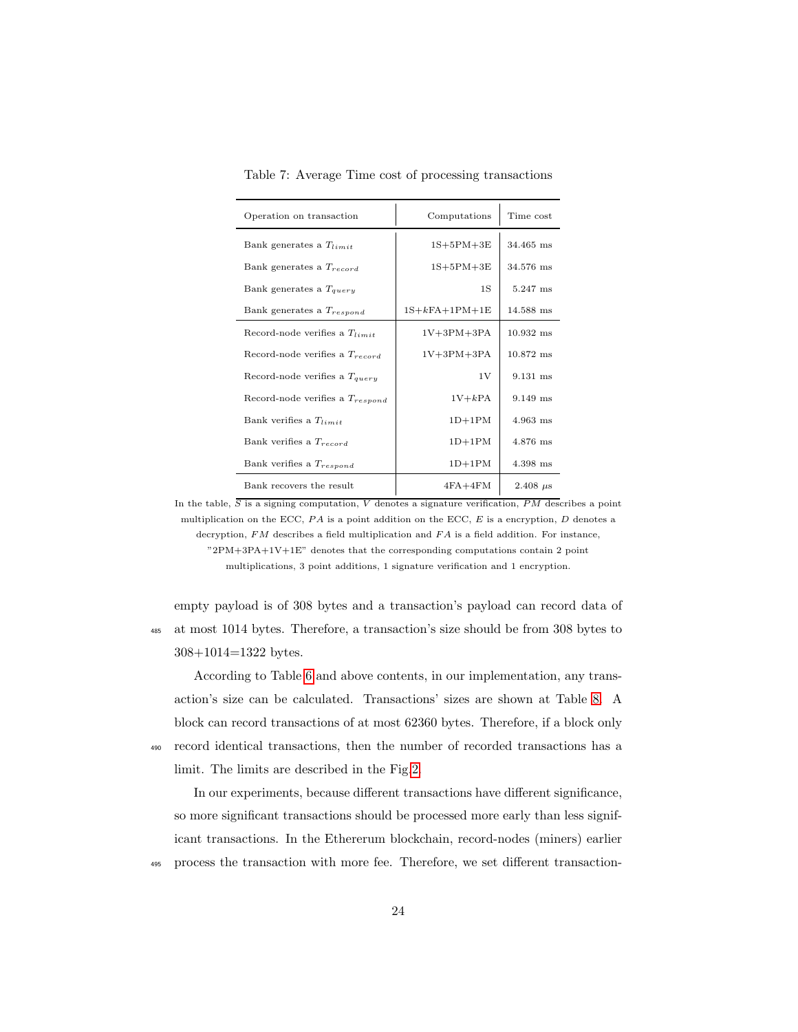| Operation on transaction             | Computations    | Time cost       |
|--------------------------------------|-----------------|-----------------|
| Bank generates a $T_{limit}$         | $1S+5PM+3E$     | $34.465$ ms     |
| Bank generates a $T_{record}$        | $1S+5PM+3E$     | 34.576 ms       |
| Bank generates a $T_{query}$         | 1S              | 5.247 ms        |
| Bank generates a $T_{respond}$       | $1S+kFA+1PM+1E$ | 14.588 ms       |
| Record-node verifies a $T_{limit}$   | $1V+3PM+3PA$    | $10.932$ ms     |
| Record-node verifies a $T_{record}$  | $1V+3PM+3PA$    | $10.872$ ms     |
| Record-node verifies a $T_{query}$   | 1V              | 9.131 ms        |
| Record-node verifies a $T_{respond}$ | $1V+kPA$        | 9.149 ms        |
| Bank verifies a $T_{limit}$          | $1D+1PM$        | 4.963 ms        |
| Bank verifies a $T_{record}$         | $1D+1PM$        | 4.876 ms        |
| Bank verifies a $T_{respond}$        | $1D+1PM$        | 4.398 ms        |
| Bank recovers the result             | $4FA+4FM$       | $2.408 \ \mu s$ |

<span id="page-23-0"></span>Table 7: Average Time cost of processing transactions

In the table,  $\overline{S}$  is a signing computation, V denotes a signature verification, PM describes a point multiplication on the ECC,  $PA$  is a point addition on the ECC,  $E$  is a encryption,  $D$  denotes a decryption,  $FM$  describes a field multiplication and  $FA$  is a field addition. For instance, "2PM+3PA+1V+1E" denotes that the corresponding computations contain 2 point multiplications, 3 point additions, 1 signature verification and 1 encryption.

empty payload is of 308 bytes and a transaction's payload can record data of <sup>485</sup> at most 1014 bytes. Therefore, a transaction's size should be from 308 bytes to 308+1014=1322 bytes.

According to Table [6](#page-21-0) and above contents, in our implementation, any transaction's size can be calculated. Transactions' sizes are shown at Table [8.](#page-24-0) A block can record transactions of at most 62360 bytes. Therefore, if a block only <sup>490</sup> record identical transactions, then the number of recorded transactions has a limit. The limits are described in the Fig[.2.](#page-29-0)

In our experiments, because different transactions have different significance, so more significant transactions should be processed more early than less significant transactions. In the Ethererum blockchain, record-nodes (miners) earlier <sup>495</sup> process the transaction with more fee. Therefore, we set different transaction-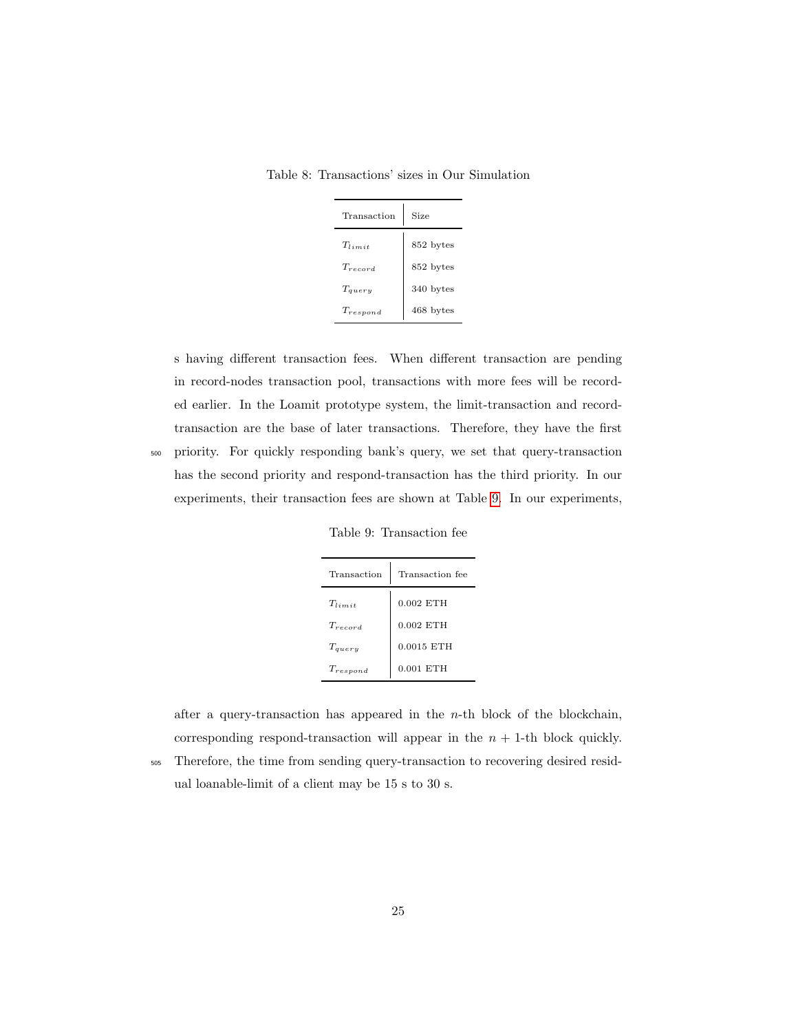<span id="page-24-0"></span>Table 8: Transactions' sizes in Our Simulation

| Transaction   | Size      |
|---------------|-----------|
| $T_{limit}$   | 852 bytes |
| $T_{record}$  | 852 bytes |
| $T_{query}$   | 340 bytes |
| $T_{respond}$ | 468 bytes |

s having different transaction fees. When different transaction are pending in record-nodes transaction pool, transactions with more fees will be recorded earlier. In the Loamit prototype system, the limit-transaction and recordtransaction are the base of later transactions. Therefore, they have the first <sup>500</sup> priority. For quickly responding bank's query, we set that query-transaction has the second priority and respond-transaction has the third priority. In our

Table 9: Transaction fee

<span id="page-24-1"></span>experiments, their transaction fees are shown at Table [9.](#page-24-1) In our experiments,

| Transaction   | Transaction fee |  |
|---------------|-----------------|--|
| $T_{limit}$   | $0.002$ ETH     |  |
| $T_{record}$  | $0.002$ ETH     |  |
| $T_{query}$   | $0.0015$ ETH    |  |
| $T_{respond}$ | $0.001$ ETH     |  |

after a query-transaction has appeared in the  $n$ -th block of the blockchain, corresponding respond-transaction will appear in the  $n + 1$ -th block quickly. <sup>505</sup> Therefore, the time from sending query-transaction to recovering desired resid-

ual loanable-limit of a client may be 15 s to 30 s.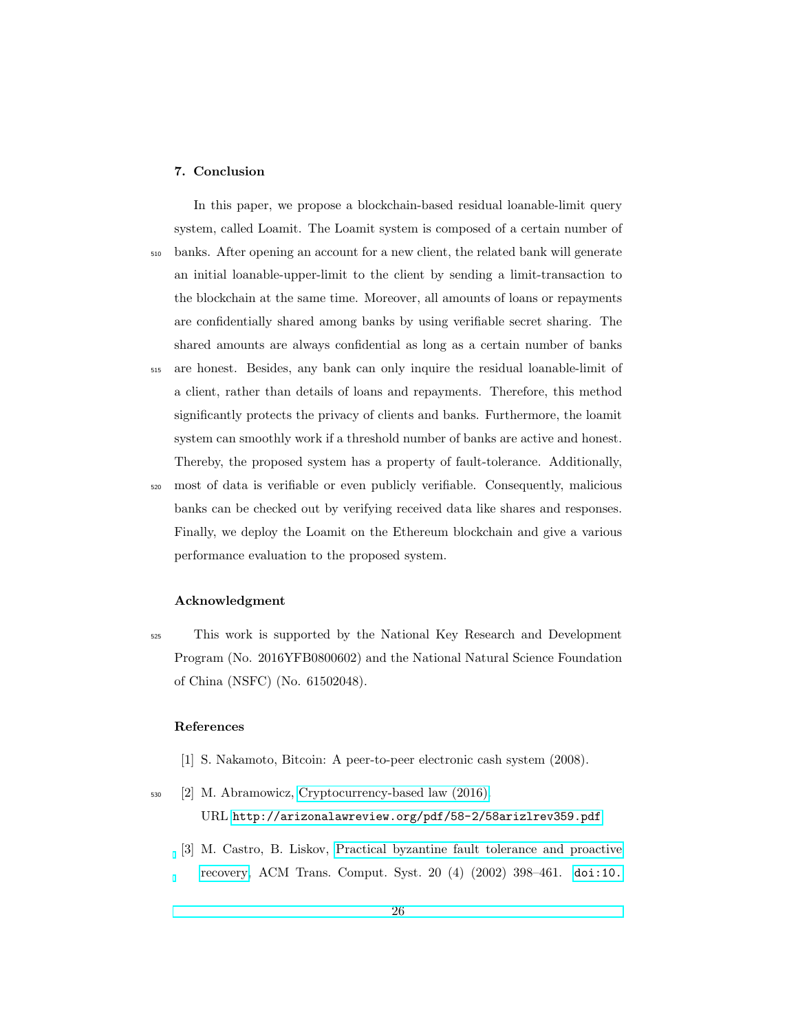### 7. Conclusion

In this paper, we propose a blockchain-based residual loanable-limit query system, called Loamit. The Loamit system is composed of a certain number of <sup>510</sup> banks. After opening an account for a new client, the related bank will generate an initial loanable-upper-limit to the client by sending a limit-transaction to the blockchain at the same time. Moreover, all amounts of loans or repayments are confidentially shared among banks by using verifiable secret sharing. The shared amounts are always confidential as long as a certain number of banks <sup>515</sup> are honest. Besides, any bank can only inquire the residual loanable-limit of a client, rather than details of loans and repayments. Therefore, this method significantly protects the privacy of clients and banks. Furthermore, the loamit system can smoothly work if a threshold number of banks are active and honest. Thereby, the proposed system has a property of fault-tolerance. Additionally,

<sup>520</sup> most of data is verifiable or even publicly verifiable. Consequently, malicious banks can be checked out by verifying received data like shares and responses. Finally, we deploy the Loamit on the Ethereum blockchain and give a various performance evaluation to the proposed system.

### Acknowledgment

<sup>525</sup> This work is supported by the National Key Research and Development Program (No. 2016YFB0800602) and the National Natural Science Foundation of China (NSFC) (No. 61502048).

### References

- <span id="page-25-1"></span><span id="page-25-0"></span>[1] S. Nakamoto, Bitcoin: A peer-to-peer electronic cash system (2008).
- <span id="page-25-2"></span><sup>530</sup> [2] M. Abramowicz, [Cryptocurrency-based law \(2016\).](http://arizonalawreview.org/pdf/58-2/58arizlrev359.pdf) URL <http://arizonalawreview.org/pdf/58-2/58arizlrev359.pdf>
	- [3] M. Castro, B. Liskov, [Practical byzantine fault tolerance and proactive](http://doi.acm.org/10.1145/571637.571640) [recovery,](http://doi.acm.org/10.1145/571637.571640) ACM Trans. Comput. Syst. 20 (4) (2002) 398–461. [doi:10.](http://dx.doi.org/10.1145/571637.571640)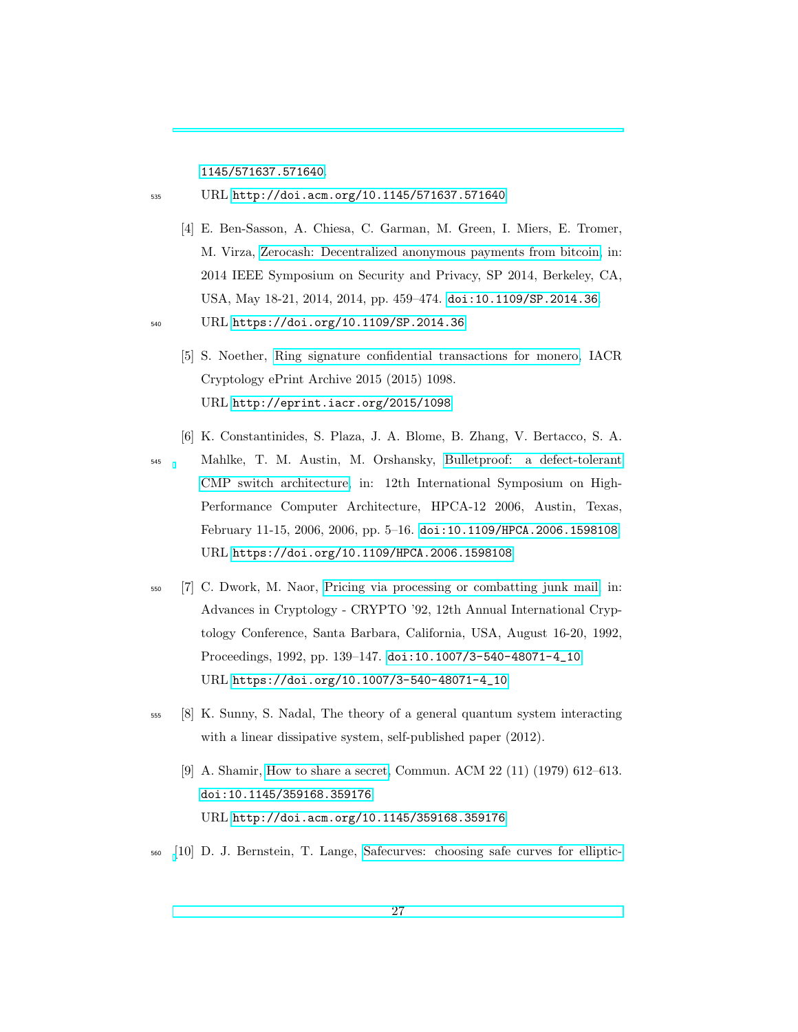[1145/571637.571640](http://dx.doi.org/10.1145/571637.571640).

<sup>535</sup> URL <http://doi.acm.org/10.1145/571637.571640>

- <span id="page-26-0"></span>[4] E. Ben-Sasson, A. Chiesa, C. Garman, M. Green, I. Miers, E. Tromer, M. Virza, [Zerocash: Decentralized anonymous payments from bitcoin,](https://doi.org/10.1109/SP.2014.36) in: 2014 IEEE Symposium on Security and Privacy, SP 2014, Berkeley, CA, USA, May 18-21, 2014, 2014, pp. 459–474. [doi:10.1109/SP.2014.36](http://dx.doi.org/10.1109/SP.2014.36).
- <span id="page-26-1"></span><sup>540</sup> URL <https://doi.org/10.1109/SP.2014.36>
	- [5] S. Noether, [Ring signature confidential transactions for monero,](http://eprint.iacr.org/2015/1098) IACR Cryptology ePrint Archive 2015 (2015) 1098. URL <http://eprint.iacr.org/2015/1098>
	- [6] K. Constantinides, S. Plaza, J. A. Blome, B. Zhang, V. Bertacco, S. A.

<span id="page-26-2"></span><sup>545</sup> Mahlke, T. M. Austin, M. Orshansky, [Bulletproof: a defect-tolerant](https://doi.org/10.1109/HPCA.2006.1598108) [CMP switch architecture,](https://doi.org/10.1109/HPCA.2006.1598108) in: 12th International Symposium on High-Performance Computer Architecture, HPCA-12 2006, Austin, Texas, February 11-15, 2006, 2006, pp. 5–16. [doi:10.1109/HPCA.2006.1598108](http://dx.doi.org/10.1109/HPCA.2006.1598108). URL <https://doi.org/10.1109/HPCA.2006.1598108>

- <span id="page-26-3"></span><sup>550</sup> [7] C. Dwork, M. Naor, [Pricing via processing or combatting junk mail,](https://doi.org/10.1007/3-540-48071-4_10) in: Advances in Cryptology - CRYPTO '92, 12th Annual International Cryptology Conference, Santa Barbara, California, USA, August 16-20, 1992, Proceedings, 1992, pp. 139–147. [doi:10.1007/3-540-48071-4\\_10](http://dx.doi.org/10.1007/3-540-48071-4_10). URL [https://doi.org/10.1007/3-540-48071-4\\_10](https://doi.org/10.1007/3-540-48071-4_10)
- <span id="page-26-5"></span><span id="page-26-4"></span><sup>555</sup> [8] K. Sunny, S. Nadal, The theory of a general quantum system interacting with a linear dissipative system, self-published paper (2012).
	- [9] A. Shamir, [How to share a secret,](http://doi.acm.org/10.1145/359168.359176) Commun. ACM 22 (11) (1979) 612–613. [doi:10.1145/359168.359176](http://dx.doi.org/10.1145/359168.359176). URL <http://doi.acm.org/10.1145/359168.359176>
- <span id="page-26-6"></span><sup>560</sup> [\[](http://safecurves.cr.yo.to)10] D. J. Bernstein, T. Lange, [Safecurves: choosing safe curves for elliptic-](http://safecurves.cr.yo.to)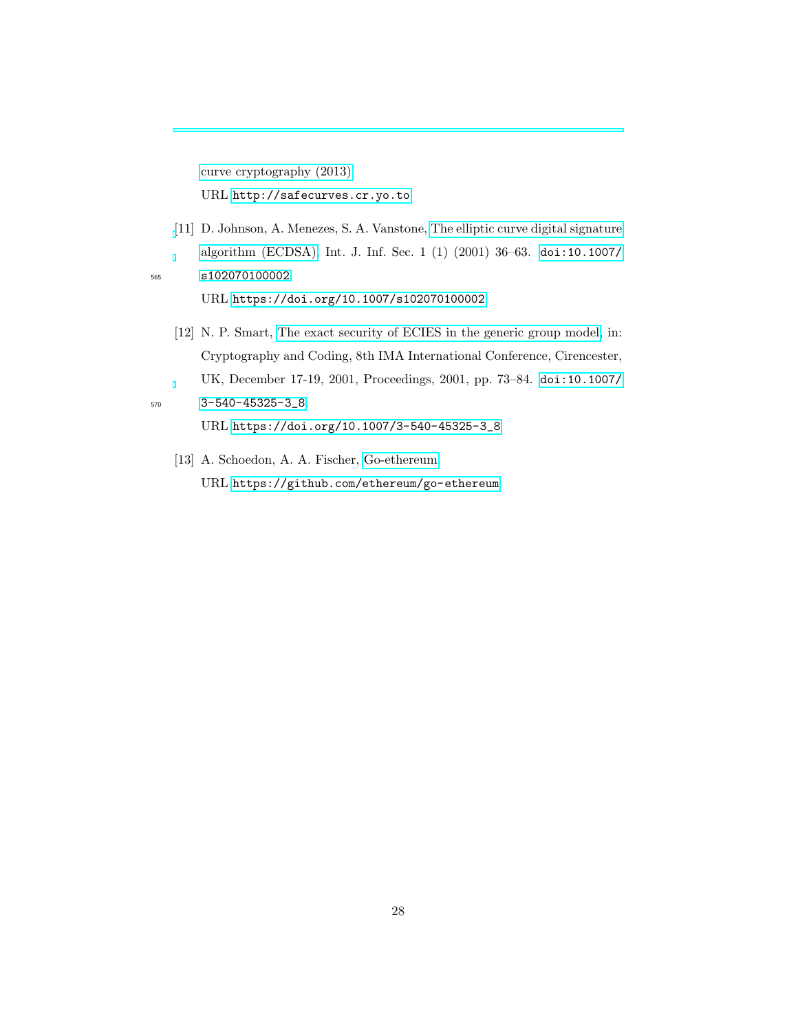[curve cryptography \(2013\).](http://safecurves.cr.yo.to) URL <http://safecurves.cr.yo.to>

<span id="page-27-0"></span>[\[](https://doi.org/10.1007/s102070100002)11] D. Johnson, A. Menezes, S. A. Vanstone, [The elliptic curve digital signature](https://doi.org/10.1007/s102070100002) [algorithm \(ECDSA\),](https://doi.org/10.1007/s102070100002) Int. J. Inf. Sec. 1 (1) (2001) 36–63. [doi:10.1007/](http://dx.doi.org/10.1007/s102070100002) <sup>565</sup> [s102070100002](http://dx.doi.org/10.1007/s102070100002).

URL <https://doi.org/10.1007/s102070100002>

<span id="page-27-1"></span>[12] N. P. Smart, [The exact security of ECIES in the generic group model,](https://doi.org/10.1007/3-540-45325-3_8) in: Cryptography and Coding, 8th IMA International Conference, Cirencester, UK, December 17-19, 2001, Proceedings, 2001, pp. 73–84. [doi:10.1007/](http://dx.doi.org/10.1007/3-540-45325-3_8) <sup>570</sup> [3-540-45325-3\\_8](http://dx.doi.org/10.1007/3-540-45325-3_8).

- URL [https://doi.org/10.1007/3-540-45325-3\\_8](https://doi.org/10.1007/3-540-45325-3_8)
- <span id="page-27-2"></span>[13] A. Schoedon, A. A. Fischer, [Go-ethereum.](https://github.com/ethereum/go-ethereum) URL <https://github.com/ethereum/go-ethereum>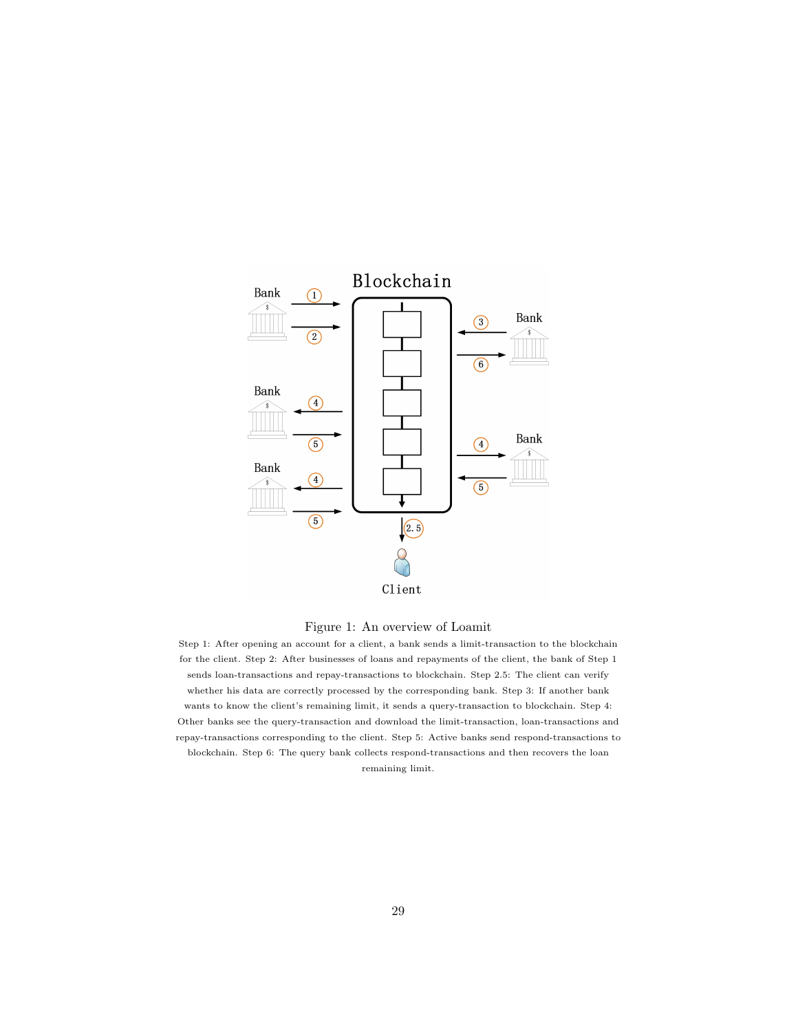<span id="page-28-0"></span>



Step 1: After opening an account for a client, a bank sends a limit-transaction to the blockchain for the client. Step 2: After businesses of loans and repayments of the client, the bank of Step 1 sends loan-transactions and repay-transactions to blockchain. Step 2.5: The client can verify whether his data are correctly processed by the corresponding bank. Step 3: If another bank wants to know the client's remaining limit, it sends a query-transaction to blockchain. Step 4: Other banks see the query-transaction and download the limit-transaction, loan-transactions and repay-transactions corresponding to the client. Step 5: Active banks send respond-transactions to blockchain. Step 6: The query bank collects respond-transactions and then recovers the loan remaining limit.